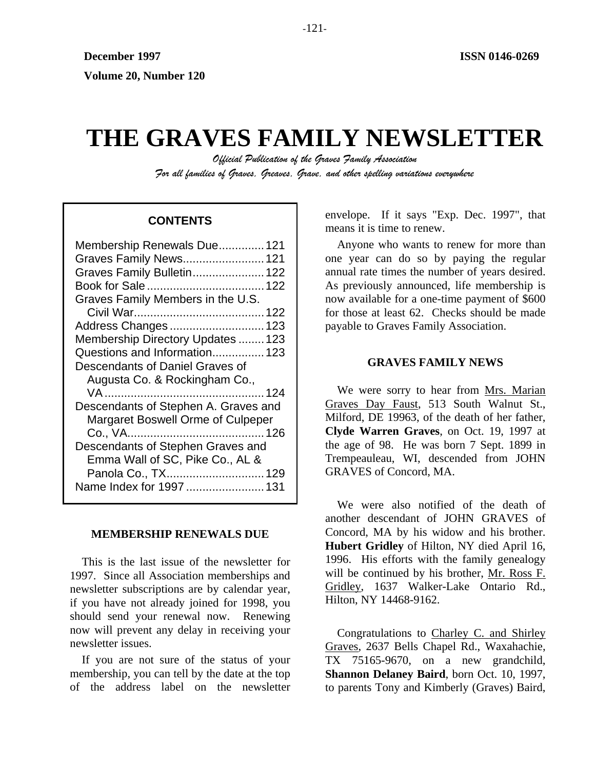# **THE GRAVES FAMILY NEWSLETTER**

*Official Publication of the Graves Family Association For all families of Graves, Greaves, Grave, and other spelling variations everywhere* 

| Membership Renewals Due 121          |
|--------------------------------------|
| Graves Family News 121               |
| Graves Family Bulletin 122           |
|                                      |
| Graves Family Members in the U.S.    |
|                                      |
| Address Changes 123                  |
| Membership Directory Updates  123    |
| Questions and Information 123        |
| Descendants of Daniel Graves of      |
| Augusta Co. & Rockingham Co.,        |
|                                      |
| Descendants of Stephen A. Graves and |
| Margaret Boswell Orme of Culpeper    |
|                                      |
| Descendants of Stephen Graves and    |
| Emma Wall of SC, Pike Co., AL &      |
| Panola Co., TX 129                   |
| Name Index for 1997  131             |
|                                      |

# **MEMBERSHIP RENEWALS DUE**

This is the last issue of the newsletter for 1997. Since all Association memberships and newsletter subscriptions are by calendar year, if you have not already joined for 1998, you should send your renewal now. Renewing now will prevent any delay in receiving your newsletter issues.

If you are not sure of the status of your membership, you can tell by the date at the top of the address label on the newsletter

envelope. If it says "Exp. Dec. 1997", that **CONTENTS** Extending the envelope. If it says E.

> Anyone who wants to renew for more than one year can do so by paying the regular annual rate times the number of years desired. As previously announced, life membership is now available for a one-time payment of \$600 for those at least 62. Checks should be made payable to Graves Family Association.

# **GRAVES FAMILY NEWS**

We were sorry to hear from Mrs. Marian Graves Day Faust, 513 South Walnut St., Milford, DE 19963, of the death of her father, **Clyde Warren Graves**, on Oct. 19, 1997 at the age of 98. He was born 7 Sept. 1899 in Trempeauleau, WI, descended from JOHN GRAVES of Concord, MA.

We were also notified of the death of another descendant of JOHN GRAVES of Concord, MA by his widow and his brother. **Hubert Gridley** of Hilton, NY died April 16, 1996. His efforts with the family genealogy will be continued by his brother, Mr. Ross F. Gridley, 1637 Walker-Lake Ontario Rd., Hilton, NY 14468-9162.

Congratulations to Charley C. and Shirley Graves, 2637 Bells Chapel Rd., Waxahachie, TX 75165-9670, on a new grandchild, **Shannon Delaney Baird**, born Oct. 10, 1997, to parents Tony and Kimberly (Graves) Baird,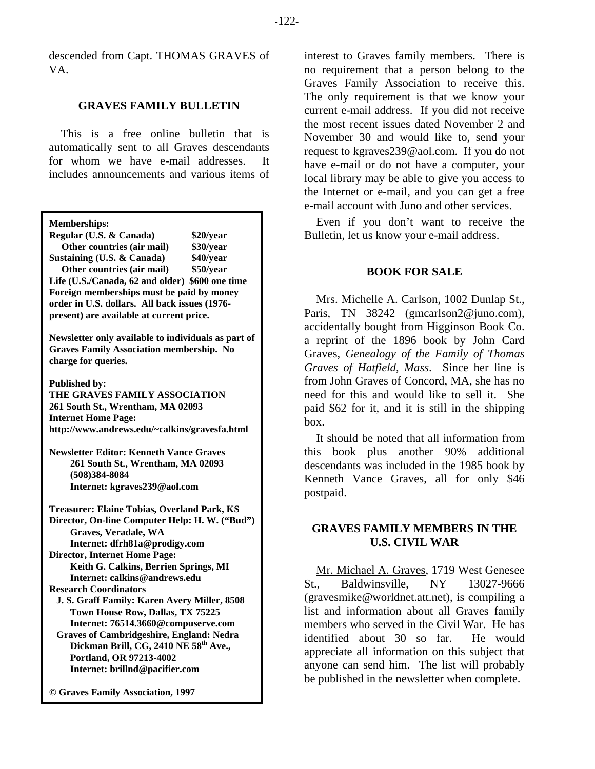descended from Capt. THOMAS GRAVES of VA.

# **GRAVES FAMILY BULLETIN**

This is a free online bulletin that is automatically sent to all Graves descendants for whom we have e-mail addresses. It includes announcements and various items of

| <b>Memberships:</b> |  |
|---------------------|--|
|---------------------|--|

| Regular (U.S. & Canada)                         | \$20/year |  |
|-------------------------------------------------|-----------|--|
| Other countries (air mail)                      | \$30/year |  |
| Sustaining (U.S. & Canada)                      | \$40/year |  |
| Other countries (air mail)                      | \$50/year |  |
| Life (U.S./Canada, 62 and older) \$600 one time |           |  |
| Foreign memberships must be paid by money       |           |  |
| order in U.S. dollars. All back issues (1976-   |           |  |
| present) are available at current price.        |           |  |

**Newsletter only available to individuals as part of Graves Family Association membership. No charge for queries.** 

**Published by:** 

**THE GRAVES FAMILY ASSOCIATION 261 South St., Wrentham, MA 02093 Internet Home Page: http://www.andrews.edu/~calkins/gravesfa.html** 

**Newsletter Editor: Kenneth Vance Graves 261 South St., Wrentham, MA 02093 (508)384-8084 Internet: kgraves239@aol.com** 

**Treasurer: Elaine Tobias, Overland Park, KS Director, On-line Computer Help: H. W. ("Bud") Graves, Veradale, WA Internet: dfrh81a@prodigy.com Director, Internet Home Page: Keith G. Calkins, Berrien Springs, MI Internet: calkins@andrews.edu Research Coordinators J. S. Graff Family: Karen Avery Miller, 8508 Town House Row, Dallas, TX 75225 Internet: 76514.3660@compuserve.com Graves of Cambridgeshire, England: Nedra Dickman Brill, CG, 2410 NE 58th Ave., Portland, OR 97213-4002 Internet: brillnd@pacifier.com** 

**© Graves Family Association, 1997**

interest to Graves family members. There is no requirement that a person belong to the Graves Family Association to receive this. The only requirement is that we know your current e-mail address. If you did not receive the most recent issues dated November 2 and November 30 and would like to, send your request to kgraves239@aol.com. If you do not have e-mail or do not have a computer, your local library may be able to give you access to the Internet or e-mail, and you can get a free e-mail account with Juno and other services.

Even if you don't want to receive the Bulletin, let us know your e-mail address.

# **BOOK FOR SALE**

Mrs. Michelle A. Carlson, 1002 Dunlap St., Paris, TN 38242 (gmcarlson2@juno.com), accidentally bought from Higginson Book Co. a reprint of the 1896 book by John Card Graves, *Genealogy of the Family of Thomas Graves of Hatfield, Mass*. Since her line is from John Graves of Concord, MA, she has no need for this and would like to sell it. She paid \$62 for it, and it is still in the shipping box.

It should be noted that all information from this book plus another 90% additional descendants was included in the 1985 book by Kenneth Vance Graves, all for only \$46 postpaid.

# **GRAVES FAMILY MEMBERS IN THE U.S. CIVIL WAR**

Mr. Michael A. Graves, 1719 West Genesee St., Baldwinsville, NY 13027-9666 (gravesmike@worldnet.att.net), is compiling a list and information about all Graves family members who served in the Civil War. He has identified about 30 so far. He would appreciate all information on this subject that anyone can send him. The list will probably be published in the newsletter when complete.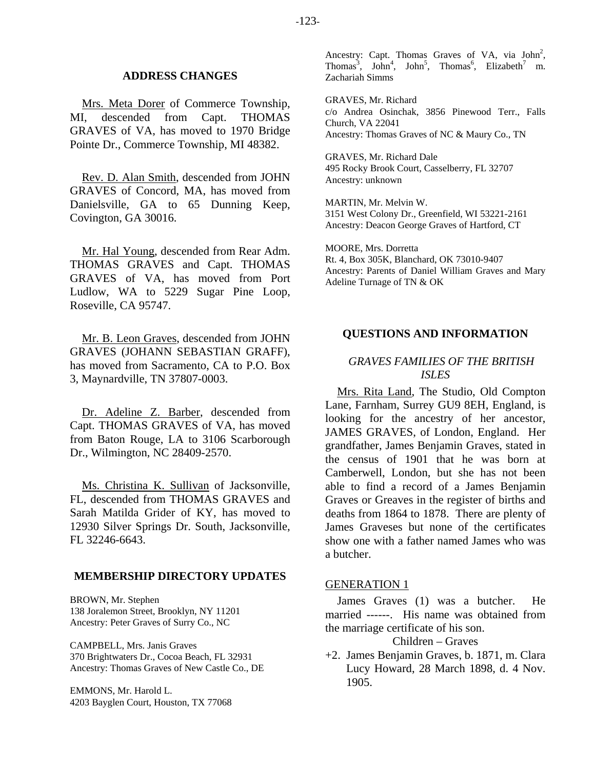#### **ADDRESS CHANGES**

Mrs. Meta Dorer of Commerce Township, MI, descended from Capt. THOMAS GRAVES of VA, has moved to 1970 Bridge Pointe Dr., Commerce Township, MI 48382.

Rev. D. Alan Smith, descended from JOHN GRAVES of Concord, MA, has moved from Danielsville, GA to 65 Dunning Keep, Covington, GA 30016.

Mr. Hal Young, descended from Rear Adm. THOMAS GRAVES and Capt. THOMAS GRAVES of VA, has moved from Port Ludlow, WA to 5229 Sugar Pine Loop, Roseville, CA 95747.

Mr. B. Leon Graves, descended from JOHN GRAVES (JOHANN SEBASTIAN GRAFF), has moved from Sacramento, CA to P.O. Box 3, Maynardville, TN 37807-0003.

Dr. Adeline Z. Barber, descended from Capt. THOMAS GRAVES of VA, has moved from Baton Rouge, LA to 3106 Scarborough Dr., Wilmington, NC 28409-2570.

Ms. Christina K. Sullivan of Jacksonville, FL, descended from THOMAS GRAVES and Sarah Matilda Grider of KY, has moved to 12930 Silver Springs Dr. South, Jacksonville, FL 32246-6643.

# **MEMBERSHIP DIRECTORY UPDATES**

BROWN, Mr. Stephen 138 Joralemon Street, Brooklyn, NY 11201 Ancestry: Peter Graves of Surry Co., NC

CAMPBELL, Mrs. Janis Graves 370 Brightwaters Dr., Cocoa Beach, FL 32931 Ancestry: Thomas Graves of New Castle Co., DE

EMMONS, Mr. Harold L. 4203 Bayglen Court, Houston, TX 77068

Ancestry: Capt. Thomas Graves of VA, via  $John<sup>2</sup>$ , Thomas<sup>3</sup>, John<sup>4</sup>, John<sup>5</sup>, Thomas<sup>6</sup>, Elizabeth<sup>7</sup> m. Zachariah Simms

GRAVES, Mr. Richard c/o Andrea Osinchak, 3856 Pinewood Terr., Falls Church, VA 22041 Ancestry: Thomas Graves of NC & Maury Co., TN

GRAVES, Mr. Richard Dale 495 Rocky Brook Court, Casselberry, FL 32707 Ancestry: unknown

MARTIN, Mr. Melvin W. 3151 West Colony Dr., Greenfield, WI 53221-2161 Ancestry: Deacon George Graves of Hartford, CT

MOORE, Mrs. Dorretta Rt. 4, Box 305K, Blanchard, OK 73010-9407 Ancestry: Parents of Daniel William Graves and Mary Adeline Turnage of TN & OK

# **QUESTIONS AND INFORMATION**

# *GRAVES FAMILIES OF THE BRITISH ISLES*

Mrs. Rita Land, The Studio, Old Compton Lane, Farnham, Surrey GU9 8EH, England, is looking for the ancestry of her ancestor, JAMES GRAVES, of London, England. Her grandfather, James Benjamin Graves, stated in the census of 1901 that he was born at Camberwell, London, but she has not been able to find a record of a James Benjamin Graves or Greaves in the register of births and deaths from 1864 to 1878. There are plenty of James Graveses but none of the certificates show one with a father named James who was a butcher.

#### GENERATION 1

James Graves (1) was a butcher. He married ------. His name was obtained from the marriage certificate of his son.

# Children – Graves

+2. James Benjamin Graves, b. 1871, m. Clara Lucy Howard, 28 March 1898, d. 4 Nov. 1905.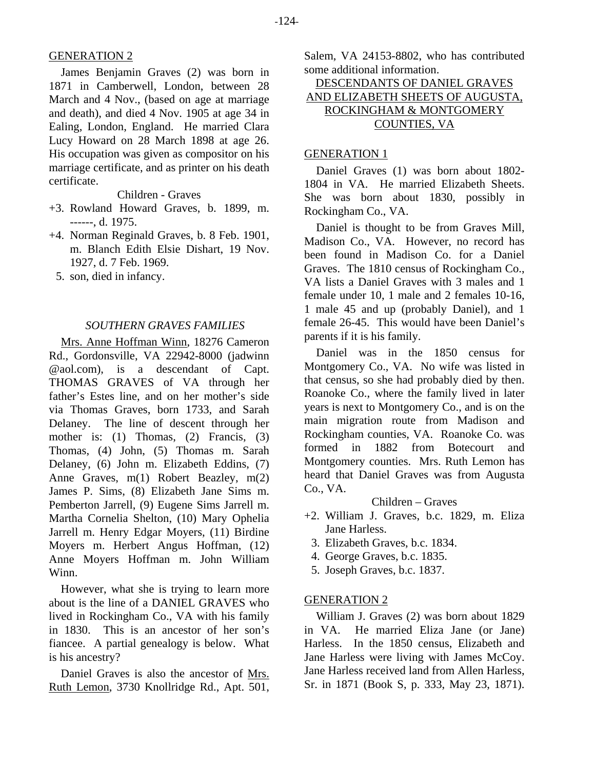# GENERATION 2

James Benjamin Graves (2) was born in 1871 in Camberwell, London, between 28 March and 4 Nov., (based on age at marriage and death), and died 4 Nov. 1905 at age 34 in Ealing, London, England. He married Clara Lucy Howard on 28 March 1898 at age 26. His occupation was given as compositor on his marriage certificate, and as printer on his death certificate.

Children - Graves

- +3. Rowland Howard Graves, b. 1899, m. ------, d. 1975.
- +4. Norman Reginald Graves, b. 8 Feb. 1901, m. Blanch Edith Elsie Dishart, 19 Nov. 1927, d. 7 Feb. 1969.
	- 5. son, died in infancy.

# *SOUTHERN GRAVES FAMILIES*

Mrs. Anne Hoffman Winn, 18276 Cameron Rd., Gordonsville, VA 22942-8000 (jadwinn @aol.com), is a descendant of Capt. THOMAS GRAVES of VA through her father's Estes line, and on her mother's side via Thomas Graves, born 1733, and Sarah Delaney. The line of descent through her mother is: (1) Thomas, (2) Francis, (3) Thomas, (4) John, (5) Thomas m. Sarah Delaney, (6) John m. Elizabeth Eddins, (7) Anne Graves, m(1) Robert Beazley, m(2) James P. Sims, (8) Elizabeth Jane Sims m. Pemberton Jarrell, (9) Eugene Sims Jarrell m. Martha Cornelia Shelton, (10) Mary Ophelia Jarrell m. Henry Edgar Moyers, (11) Birdine Moyers m. Herbert Angus Hoffman, (12) Anne Moyers Hoffman m. John William Winn.

However, what she is trying to learn more about is the line of a DANIEL GRAVES who lived in Rockingham Co., VA with his family in 1830. This is an ancestor of her son's fiancee. A partial genealogy is below. What is his ancestry?

Daniel Graves is also the ancestor of Mrs. Ruth Lemon, 3730 Knollridge Rd., Apt. 501, Salem, VA 24153-8802, who has contributed some additional information.

# DESCENDANTS OF DANIEL GRAVES AND ELIZABETH SHEETS OF AUGUSTA, ROCKINGHAM & MONTGOMERY COUNTIES, VA

# GENERATION 1

Daniel Graves (1) was born about 1802- 1804 in VA. He married Elizabeth Sheets. She was born about 1830, possibly in Rockingham Co., VA.

Daniel is thought to be from Graves Mill, Madison Co., VA. However, no record has been found in Madison Co. for a Daniel Graves. The 1810 census of Rockingham Co., VA lists a Daniel Graves with 3 males and 1 female under 10, 1 male and 2 females 10-16, 1 male 45 and up (probably Daniel), and 1 female 26-45. This would have been Daniel's parents if it is his family.

Daniel was in the 1850 census for Montgomery Co., VA. No wife was listed in that census, so she had probably died by then. Roanoke Co., where the family lived in later years is next to Montgomery Co., and is on the main migration route from Madison and Rockingham counties, VA. Roanoke Co. was formed in 1882 from Botecourt and Montgomery counties. Mrs. Ruth Lemon has heard that Daniel Graves was from Augusta Co., VA.

# Children – Graves

- +2. William J. Graves, b.c. 1829, m. Eliza Jane Harless.
	- 3. Elizabeth Graves, b.c. 1834.
	- 4. George Graves, b.c. 1835.
	- 5. Joseph Graves, b.c. 1837.

#### GENERATION 2

William J. Graves (2) was born about 1829 in VA. He married Eliza Jane (or Jane) Harless. In the 1850 census, Elizabeth and Jane Harless were living with James McCoy. Jane Harless received land from Allen Harless, Sr. in 1871 (Book S, p. 333, May 23, 1871).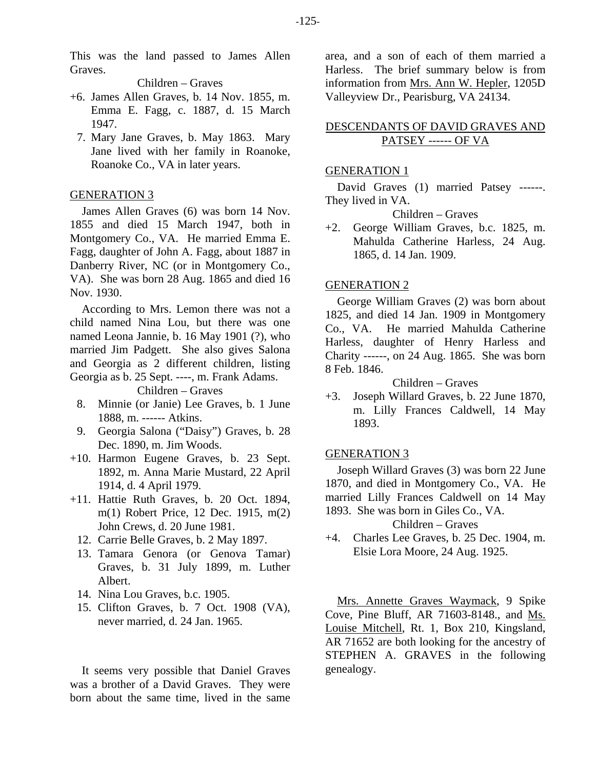This was the land passed to James Allen Graves.

Children – Graves

- +6. James Allen Graves, b. 14 Nov. 1855, m. Emma E. Fagg, c. 1887, d. 15 March 1947.
	- 7. Mary Jane Graves, b. May 1863. Mary Jane lived with her family in Roanoke, Roanoke Co., VA in later years.

# GENERATION 3

James Allen Graves (6) was born 14 Nov. 1855 and died 15 March 1947, both in Montgomery Co., VA. He married Emma E. Fagg, daughter of John A. Fagg, about 1887 in Danberry River, NC (or in Montgomery Co., VA). She was born 28 Aug. 1865 and died 16 Nov. 1930.

According to Mrs. Lemon there was not a child named Nina Lou, but there was one named Leona Jannie, b. 16 May 1901 (?), who married Jim Padgett. She also gives Salona and Georgia as 2 different children, listing Georgia as b. 25 Sept. ----, m. Frank Adams.

Children – Graves

- 8. Minnie (or Janie) Lee Graves, b. 1 June 1888, m. ------ Atkins.
- 9. Georgia Salona ("Daisy") Graves, b. 28 Dec. 1890, m. Jim Woods.
- +10. Harmon Eugene Graves, b. 23 Sept. 1892, m. Anna Marie Mustard, 22 April 1914, d. 4 April 1979.
- +11. Hattie Ruth Graves, b. 20 Oct. 1894, m(1) Robert Price, 12 Dec. 1915, m(2) John Crews, d. 20 June 1981.
	- 12. Carrie Belle Graves, b. 2 May 1897.
	- 13. Tamara Genora (or Genova Tamar) Graves, b. 31 July 1899, m. Luther Albert.
	- 14. Nina Lou Graves, b.c. 1905.
	- 15. Clifton Graves, b. 7 Oct. 1908 (VA), never married, d. 24 Jan. 1965.

It seems very possible that Daniel Graves was a brother of a David Graves. They were born about the same time, lived in the same area, and a son of each of them married a Harless. The brief summary below is from information from Mrs. Ann W. Hepler, 1205D Valleyview Dr., Pearisburg, VA 24134.

# DESCENDANTS OF DAVID GRAVES AND PATSEY ------ OF VA

#### GENERATION 1

David Graves (1) married Patsey ------. They lived in VA.

Children – Graves

+2. George William Graves, b.c. 1825, m. Mahulda Catherine Harless, 24 Aug. 1865, d. 14 Jan. 1909.

#### GENERATION 2

George William Graves (2) was born about 1825, and died 14 Jan. 1909 in Montgomery Co., VA. He married Mahulda Catherine Harless, daughter of Henry Harless and Charity ------, on 24 Aug. 1865. She was born 8 Feb. 1846.

Children – Graves

+3. Joseph Willard Graves, b. 22 June 1870, m. Lilly Frances Caldwell, 14 May 1893.

# GENERATION 3

Joseph Willard Graves (3) was born 22 June 1870, and died in Montgomery Co., VA. He married Lilly Frances Caldwell on 14 May 1893. She was born in Giles Co., VA.

Children – Graves

+4. Charles Lee Graves, b. 25 Dec. 1904, m. Elsie Lora Moore, 24 Aug. 1925.

Mrs. Annette Graves Waymack, 9 Spike Cove, Pine Bluff, AR 71603-8148., and Ms. Louise Mitchell, Rt. 1, Box 210, Kingsland, AR 71652 are both looking for the ancestry of STEPHEN A. GRAVES in the following genealogy.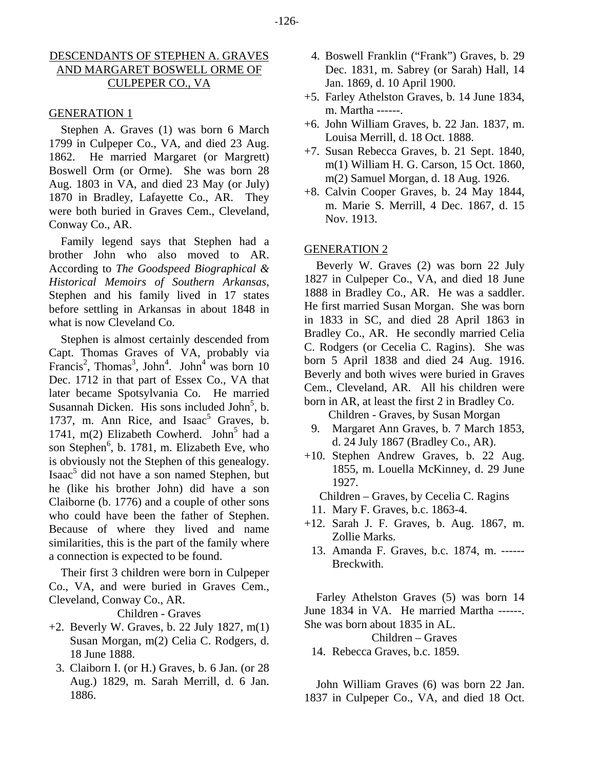# DESCENDANTS OF STEPHEN A. GRAVES AND MARGARET BOSWELL ORME OF CULPEPER CO., VA

# GENERATION 1

Stephen A. Graves (1) was born 6 March 1799 in Culpeper Co., VA, and died 23 Aug. 1862. He married Margaret (or Margrett) Boswell Orm (or Orme). She was born 28 Aug. 1803 in VA, and died 23 May (or July) 1870 in Bradley, Lafayette Co., AR. They were both buried in Graves Cem., Cleveland, Conway Co., AR.

Family legend says that Stephen had a brother John who also moved to AR. According to *The Goodspeed Biographical & Historical Memoirs of Southern Arkansas*, Stephen and his family lived in 17 states before settling in Arkansas in about 1848 in what is now Cleveland Co.

Stephen is almost certainly descended from Capt. Thomas Graves of VA, probably via Francis<sup>2</sup>, Thomas<sup>3</sup>, John<sup>4</sup>. John<sup>4</sup> was born 10 Dec. 1712 in that part of Essex Co., VA that later became Spotsylvania Co. He married Susannah Dicken. His sons included John<sup>5</sup>, b. 1737, m. Ann Rice, and Isaac<sup>5</sup> Graves, b. 1741,  $m(2)$  Elizabeth Cowherd. John<sup>5</sup> had a son Stephen<sup>6</sup>, b. 1781, m. Elizabeth Eve, who is obviously not the Stephen of this genealogy. Isaac<sup>5</sup> did not have a son named Stephen, but he (like his brother John) did have a son Claiborne (b. 1776) and a couple of other sons who could have been the father of Stephen. Because of where they lived and name similarities, this is the part of the family where a connection is expected to be found.

Their first 3 children were born in Culpeper Co., VA, and were buried in Graves Cem., Cleveland, Conway Co., AR.

Children - Graves

- $+2$ . Beverly W. Graves, b. 22 July 1827, m(1) Susan Morgan, m(2) Celia C. Rodgers, d. 18 June 1888.
	- 3. Claiborn I. (or H.) Graves, b. 6 Jan. (or 28 Aug.) 1829, m. Sarah Merrill, d. 6 Jan. 1886.
- 4. Boswell Franklin ("Frank") Graves, b. 29 Dec. 1831, m. Sabrey (or Sarah) Hall, 14 Jan. 1869, d. 10 April 1900.
- +5. Farley Athelston Graves, b. 14 June 1834, m. Martha ------.
- +6. John William Graves, b. 22 Jan. 1837, m. Louisa Merrill, d. 18 Oct. 1888.
- +7. Susan Rebecca Graves, b. 21 Sept. 1840, m(1) William H. G. Carson, 15 Oct. 1860, m(2) Samuel Morgan, d. 18 Aug. 1926.
- +8. Calvin Cooper Graves, b. 24 May 1844, m. Marie S. Merrill, 4 Dec. 1867, d. 15 Nov. 1913.

# GENERATION 2

Beverly W. Graves (2) was born 22 July 1827 in Culpeper Co., VA, and died 18 June 1888 in Bradley Co., AR. He was a saddler. He first married Susan Morgan. She was born in 1833 in SC, and died 28 April 1863 in Bradley Co., AR. He secondly married Celia C. Rodgers (or Cecelia C. Ragins). She was born 5 April 1838 and died 24 Aug. 1916. Beverly and both wives were buried in Graves Cem., Cleveland, AR. All his children were born in AR, at least the first 2 in Bradley Co.

- Children Graves, by Susan Morgan
- 9. Margaret Ann Graves, b. 7 March 1853, d. 24 July 1867 (Bradley Co., AR).
- +10. Stephen Andrew Graves, b. 22 Aug. 1855, m. Louella McKinney, d. 29 June 1927.

Children – Graves, by Cecelia C. Ragins

- 11. Mary F. Graves, b.c. 1863-4.
- +12. Sarah J. F. Graves, b. Aug. 1867, m. Zollie Marks.
	- 13. Amanda F. Graves, b.c. 1874, m. ------ Breckwith.

Farley Athelston Graves (5) was born 14 June 1834 in VA. He married Martha ------. She was born about 1835 in AL.

Children – Graves

14. Rebecca Graves, b.c. 1859.

John William Graves (6) was born 22 Jan. 1837 in Culpeper Co., VA, and died 18 Oct.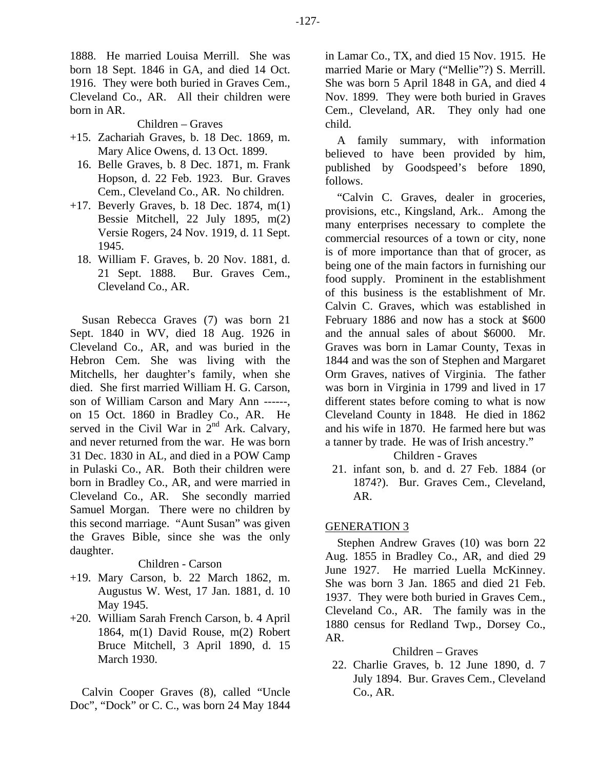1888. He married Louisa Merrill. She was born 18 Sept. 1846 in GA, and died 14 Oct. 1916. They were both buried in Graves Cem., Cleveland Co., AR. All their children were born in AR.

Children – Graves

- +15. Zachariah Graves, b. 18 Dec. 1869, m. Mary Alice Owens, d. 13 Oct. 1899.
	- 16. Belle Graves, b. 8 Dec. 1871, m. Frank Hopson, d. 22 Feb. 1923. Bur. Graves Cem., Cleveland Co., AR. No children.
- +17. Beverly Graves, b. 18 Dec. 1874, m(1) Bessie Mitchell, 22 July 1895, m(2) Versie Rogers, 24 Nov. 1919, d. 11 Sept. 1945.
	- 18. William F. Graves, b. 20 Nov. 1881, d. 21 Sept. 1888. Bur. Graves Cem., Cleveland Co., AR.

Susan Rebecca Graves (7) was born 21 Sept. 1840 in WV, died 18 Aug. 1926 in Cleveland Co., AR, and was buried in the Hebron Cem. She was living with the Mitchells, her daughter's family, when she died. She first married William H. G. Carson, son of William Carson and Mary Ann ------, on 15 Oct. 1860 in Bradley Co., AR. He served in the Civil War in  $2<sup>nd</sup>$  Ark. Calvary, and never returned from the war. He was born 31 Dec. 1830 in AL, and died in a POW Camp in Pulaski Co., AR. Both their children were born in Bradley Co., AR, and were married in Cleveland Co., AR. She secondly married Samuel Morgan. There were no children by this second marriage. "Aunt Susan" was given the Graves Bible, since she was the only daughter.

# Children - Carson

- +19. Mary Carson, b. 22 March 1862, m. Augustus W. West, 17 Jan. 1881, d. 10 May 1945.
- +20. William Sarah French Carson, b. 4 April 1864, m(1) David Rouse, m(2) Robert Bruce Mitchell, 3 April 1890, d. 15 March 1930.

Calvin Cooper Graves (8), called "Uncle Doc", "Dock" or C. C., was born 24 May 1844 in Lamar Co., TX, and died 15 Nov. 1915. He married Marie or Mary ("Mellie"?) S. Merrill. She was born 5 April 1848 in GA, and died 4 Nov. 1899. They were both buried in Graves Cem., Cleveland, AR. They only had one child.

A family summary, with information believed to have been provided by him, published by Goodspeed's before 1890, follows.

"Calvin C. Graves, dealer in groceries, provisions, etc., Kingsland, Ark.. Among the many enterprises necessary to complete the commercial resources of a town or city, none is of more importance than that of grocer, as being one of the main factors in furnishing our food supply. Prominent in the establishment of this business is the establishment of Mr. Calvin C. Graves, which was established in February 1886 and now has a stock at \$600 and the annual sales of about \$6000. Mr. Graves was born in Lamar County, Texas in 1844 and was the son of Stephen and Margaret Orm Graves, natives of Virginia. The father was born in Virginia in 1799 and lived in 17 different states before coming to what is now Cleveland County in 1848. He died in 1862 and his wife in 1870. He farmed here but was a tanner by trade. He was of Irish ancestry."

# Children - Graves

 21. infant son, b. and d. 27 Feb. 1884 (or 1874?). Bur. Graves Cem., Cleveland, AR.

# GENERATION 3

Stephen Andrew Graves (10) was born 22 Aug. 1855 in Bradley Co., AR, and died 29 June 1927. He married Luella McKinney. She was born 3 Jan. 1865 and died 21 Feb. 1937. They were both buried in Graves Cem., Cleveland Co., AR. The family was in the 1880 census for Redland Twp., Dorsey Co., AR.

# Children – Graves

 22. Charlie Graves, b. 12 June 1890, d. 7 July 1894. Bur. Graves Cem., Cleveland Co., AR.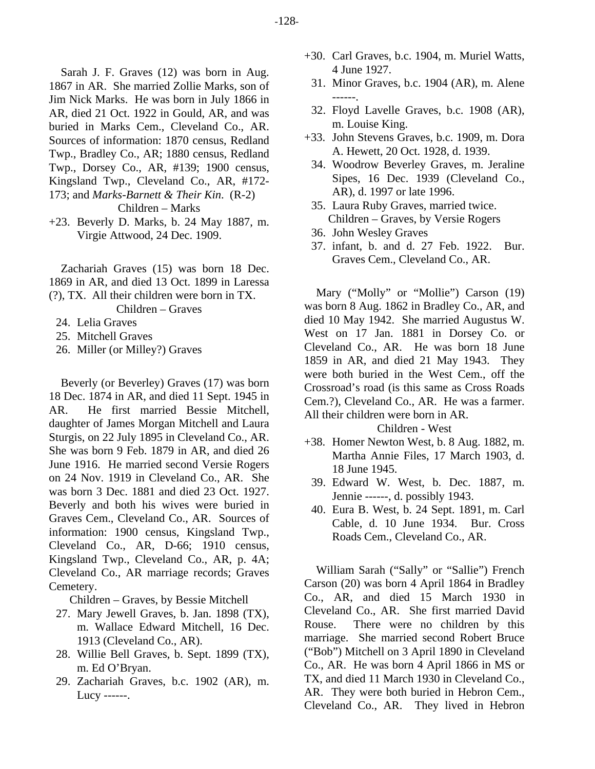Sarah J. F. Graves (12) was born in Aug. 1867 in AR. She married Zollie Marks, son of Jim Nick Marks. He was born in July 1866 in AR, died 21 Oct. 1922 in Gould, AR, and was buried in Marks Cem., Cleveland Co., AR. Sources of information: 1870 census, Redland Twp., Bradley Co., AR; 1880 census, Redland Twp., Dorsey Co., AR, #139; 1900 census, Kingsland Twp., Cleveland Co., AR, #172- 173; and *Marks-Barnett & Their Kin*. (R-2)

Children – Marks

+23. Beverly D. Marks, b. 24 May 1887, m. Virgie Attwood, 24 Dec. 1909.

Zachariah Graves (15) was born 18 Dec. 1869 in AR, and died 13 Oct. 1899 in Laressa (?), TX. All their children were born in TX.

Children – Graves

- 24. Lelia Graves
- 25. Mitchell Graves
- 26. Miller (or Milley?) Graves

Beverly (or Beverley) Graves (17) was born 18 Dec. 1874 in AR, and died 11 Sept. 1945 in AR. He first married Bessie Mitchell, daughter of James Morgan Mitchell and Laura Sturgis, on 22 July 1895 in Cleveland Co., AR. She was born 9 Feb. 1879 in AR, and died 26 June 1916. He married second Versie Rogers on 24 Nov. 1919 in Cleveland Co., AR. She was born 3 Dec. 1881 and died 23 Oct. 1927. Beverly and both his wives were buried in Graves Cem., Cleveland Co., AR. Sources of information: 1900 census, Kingsland Twp., Cleveland Co., AR, D-66; 1910 census, Kingsland Twp., Cleveland Co., AR, p. 4A; Cleveland Co., AR marriage records; Graves Cemetery.

Children – Graves, by Bessie Mitchell

- 27. Mary Jewell Graves, b. Jan. 1898 (TX), m. Wallace Edward Mitchell, 16 Dec. 1913 (Cleveland Co., AR).
- 28. Willie Bell Graves, b. Sept. 1899 (TX), m. Ed O'Bryan.
- 29. Zachariah Graves, b.c. 1902 (AR), m. Lucy ------.
- +30. Carl Graves, b.c. 1904, m. Muriel Watts, 4 June 1927.
	- 31. Minor Graves, b.c. 1904 (AR), m. Alene ------.
	- 32. Floyd Lavelle Graves, b.c. 1908 (AR), m. Louise King.
- +33. John Stevens Graves, b.c. 1909, m. Dora A. Hewett, 20 Oct. 1928, d. 1939.
	- 34. Woodrow Beverley Graves, m. Jeraline Sipes, 16 Dec. 1939 (Cleveland Co., AR), d. 1997 or late 1996.
	- 35. Laura Ruby Graves, married twice. Children – Graves, by Versie Rogers
- 36. John Wesley Graves
- 37. infant, b. and d. 27 Feb. 1922. Bur. Graves Cem., Cleveland Co., AR.

Mary ("Molly" or "Mollie") Carson (19) was born 8 Aug. 1862 in Bradley Co., AR, and died 10 May 1942. She married Augustus W. West on 17 Jan. 1881 in Dorsey Co. or Cleveland Co., AR. He was born 18 June 1859 in AR, and died 21 May 1943. They were both buried in the West Cem., off the Crossroad's road (is this same as Cross Roads Cem.?), Cleveland Co., AR. He was a farmer. All their children were born in AR.

#### Children - West

- +38. Homer Newton West, b. 8 Aug. 1882, m. Martha Annie Files, 17 March 1903, d. 18 June 1945.
	- 39. Edward W. West, b. Dec. 1887, m. Jennie ------, d. possibly 1943.
	- 40. Eura B. West, b. 24 Sept. 1891, m. Carl Cable, d. 10 June 1934. Bur. Cross Roads Cem., Cleveland Co., AR.

William Sarah ("Sally" or "Sallie") French Carson (20) was born 4 April 1864 in Bradley Co., AR, and died 15 March 1930 in Cleveland Co., AR. She first married David Rouse. There were no children by this marriage. She married second Robert Bruce ("Bob") Mitchell on 3 April 1890 in Cleveland Co., AR. He was born 4 April 1866 in MS or TX, and died 11 March 1930 in Cleveland Co., AR. They were both buried in Hebron Cem., Cleveland Co., AR. They lived in Hebron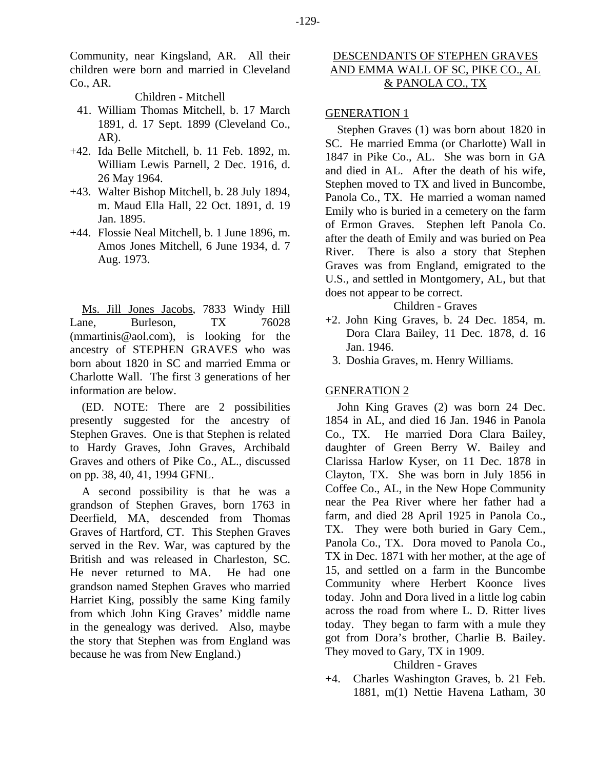Community, near Kingsland, AR. All their children were born and married in Cleveland Co., AR.

# Children - Mitchell

- 41. William Thomas Mitchell, b. 17 March 1891, d. 17 Sept. 1899 (Cleveland Co., AR).
- +42. Ida Belle Mitchell, b. 11 Feb. 1892, m. William Lewis Parnell, 2 Dec. 1916, d. 26 May 1964.
- +43. Walter Bishop Mitchell, b. 28 July 1894, m. Maud Ella Hall, 22 Oct. 1891, d. 19 Jan. 1895.
- +44. Flossie Neal Mitchell, b. 1 June 1896, m. Amos Jones Mitchell, 6 June 1934, d. 7 Aug. 1973.

Ms. Jill Jones Jacobs, 7833 Windy Hill Lane, Burleson, TX 76028 (mmartinis@aol.com), is looking for the ancestry of STEPHEN GRAVES who was born about 1820 in SC and married Emma or Charlotte Wall. The first 3 generations of her information are below.

(ED. NOTE: There are 2 possibilities presently suggested for the ancestry of Stephen Graves. One is that Stephen is related to Hardy Graves, John Graves, Archibald Graves and others of Pike Co., AL., discussed on pp. 38, 40, 41, 1994 GFNL.

A second possibility is that he was a grandson of Stephen Graves, born 1763 in Deerfield, MA, descended from Thomas Graves of Hartford, CT. This Stephen Graves served in the Rev. War, was captured by the British and was released in Charleston, SC. He never returned to MA. He had one grandson named Stephen Graves who married Harriet King, possibly the same King family from which John King Graves' middle name in the genealogy was derived. Also, maybe the story that Stephen was from England was because he was from New England.)

# DESCENDANTS OF STEPHEN GRAVES AND EMMA WALL OF SC, PIKE CO., AL & PANOLA CO., TX

# GENERATION 1

Stephen Graves (1) was born about 1820 in SC. He married Emma (or Charlotte) Wall in 1847 in Pike Co., AL. She was born in GA and died in AL. After the death of his wife, Stephen moved to TX and lived in Buncombe, Panola Co., TX. He married a woman named Emily who is buried in a cemetery on the farm of Ermon Graves. Stephen left Panola Co. after the death of Emily and was buried on Pea River. There is also a story that Stephen Graves was from England, emigrated to the U.S., and settled in Montgomery, AL, but that does not appear to be correct.

# Children - Graves

- +2. John King Graves, b. 24 Dec. 1854, m. Dora Clara Bailey, 11 Dec. 1878, d. 16 Jan. 1946.
	- 3. Doshia Graves, m. Henry Williams.

# GENERATION 2

John King Graves (2) was born 24 Dec. 1854 in AL, and died 16 Jan. 1946 in Panola Co., TX. He married Dora Clara Bailey, daughter of Green Berry W. Bailey and Clarissa Harlow Kyser, on 11 Dec. 1878 in Clayton, TX. She was born in July 1856 in Coffee Co., AL, in the New Hope Community near the Pea River where her father had a farm, and died 28 April 1925 in Panola Co., TX. They were both buried in Gary Cem., Panola Co., TX. Dora moved to Panola Co., TX in Dec. 1871 with her mother, at the age of 15, and settled on a farm in the Buncombe Community where Herbert Koonce lives today. John and Dora lived in a little log cabin across the road from where L. D. Ritter lives today. They began to farm with a mule they got from Dora's brother, Charlie B. Bailey. They moved to Gary, TX in 1909.

Children - Graves

+4. Charles Washington Graves, b. 21 Feb. 1881, m(1) Nettie Havena Latham, 30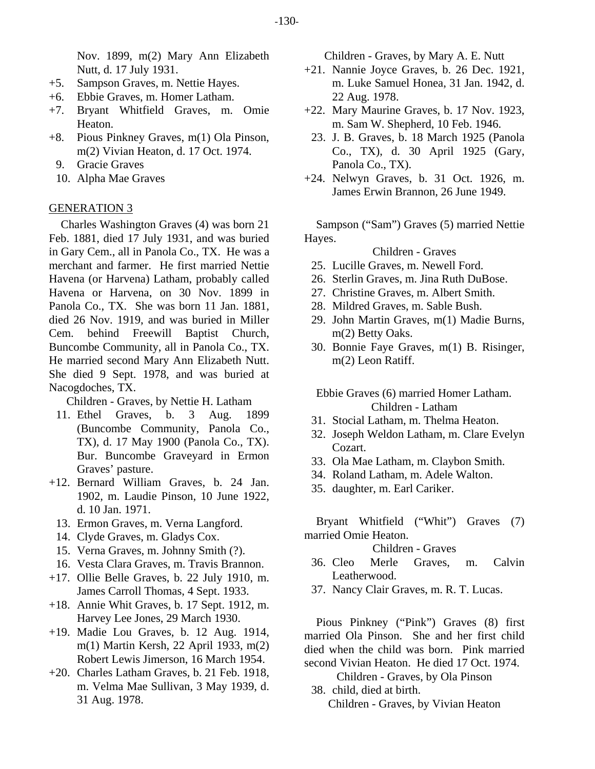Nov. 1899, m(2) Mary Ann Elizabeth Nutt, d. 17 July 1931.

- +5. Sampson Graves, m. Nettie Hayes.
- +6. Ebbie Graves, m. Homer Latham.
- +7. Bryant Whitfield Graves, m. Omie Heaton.
- +8. Pious Pinkney Graves, m(1) Ola Pinson, m(2) Vivian Heaton, d. 17 Oct. 1974.
	- 9. Gracie Graves
	- 10. Alpha Mae Graves

#### GENERATION 3

Charles Washington Graves (4) was born 21 Feb. 1881, died 17 July 1931, and was buried in Gary Cem., all in Panola Co., TX. He was a merchant and farmer. He first married Nettie Havena (or Harvena) Latham, probably called Havena or Harvena, on 30 Nov. 1899 in Panola Co., TX. She was born 11 Jan. 1881, died 26 Nov. 1919, and was buried in Miller Cem. behind Freewill Baptist Church, Buncombe Community, all in Panola Co., TX. He married second Mary Ann Elizabeth Nutt. She died 9 Sept. 1978, and was buried at Nacogdoches, TX.

Children - Graves, by Nettie H. Latham

- 11. Ethel Graves, b. 3 Aug. 1899 (Buncombe Community, Panola Co., TX), d. 17 May 1900 (Panola Co., TX). Bur. Buncombe Graveyard in Ermon Graves' pasture.
- +12. Bernard William Graves, b. 24 Jan. 1902, m. Laudie Pinson, 10 June 1922, d. 10 Jan. 1971.
	- 13. Ermon Graves, m. Verna Langford.
	- 14. Clyde Graves, m. Gladys Cox.
	- 15. Verna Graves, m. Johnny Smith (?).
	- 16. Vesta Clara Graves, m. Travis Brannon.
- +17. Ollie Belle Graves, b. 22 July 1910, m. James Carroll Thomas, 4 Sept. 1933.
- +18. Annie Whit Graves, b. 17 Sept. 1912, m. Harvey Lee Jones, 29 March 1930.
- +19. Madie Lou Graves, b. 12 Aug. 1914, m(1) Martin Kersh, 22 April 1933, m(2) Robert Lewis Jimerson, 16 March 1954.
- +20. Charles Latham Graves, b. 21 Feb. 1918, m. Velma Mae Sullivan, 3 May 1939, d. 31 Aug. 1978.

Children - Graves, by Mary A. E. Nutt

- +21. Nannie Joyce Graves, b. 26 Dec. 1921, m. Luke Samuel Honea, 31 Jan. 1942, d. 22 Aug. 1978.
- +22. Mary Maurine Graves, b. 17 Nov. 1923, m. Sam W. Shepherd, 10 Feb. 1946.
- 23. J. B. Graves, b. 18 March 1925 (Panola Co., TX), d. 30 April 1925 (Gary, Panola Co., TX).
- +24. Nelwyn Graves, b. 31 Oct. 1926, m. James Erwin Brannon, 26 June 1949.

Sampson ("Sam") Graves (5) married Nettie Hayes.

#### Children - Graves

- 25. Lucille Graves, m. Newell Ford.
- 26. Sterlin Graves, m. Jina Ruth DuBose.
- 27. Christine Graves, m. Albert Smith.
- 28. Mildred Graves, m. Sable Bush.
- 29. John Martin Graves, m(1) Madie Burns, m(2) Betty Oaks.
- 30. Bonnie Faye Graves, m(1) B. Risinger, m(2) Leon Ratiff.

Ebbie Graves (6) married Homer Latham. Children - Latham

- 31. Stocial Latham, m. Thelma Heaton.
- 32. Joseph Weldon Latham, m. Clare Evelyn Cozart.
- 33. Ola Mae Latham, m. Claybon Smith.
- 34. Roland Latham, m. Adele Walton.
- 35. daughter, m. Earl Cariker.

Bryant Whitfield ("Whit") Graves (7) married Omie Heaton.

#### Children - Graves

- 36. Cleo Merle Graves, m. Calvin Leatherwood.
- 37. Nancy Clair Graves, m. R. T. Lucas.

Pious Pinkney ("Pink") Graves (8) first married Ola Pinson. She and her first child died when the child was born. Pink married second Vivian Heaton. He died 17 Oct. 1974.

Children - Graves, by Ola Pinson

38. child, died at birth.

Children - Graves, by Vivian Heaton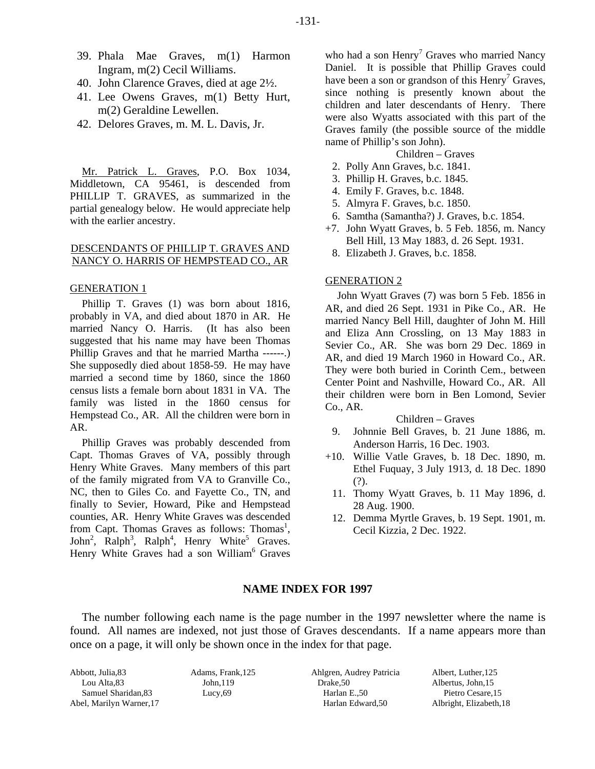- 39. Phala Mae Graves, m(1) Harmon Ingram, m(2) Cecil Williams.
- 40. John Clarence Graves, died at age 2½.
- 41. Lee Owens Graves, m(1) Betty Hurt, m(2) Geraldine Lewellen.
- 42. Delores Graves, m. M. L. Davis, Jr.

Mr. Patrick L. Graves, P.O. Box 1034, Middletown, CA 95461, is descended from PHILLIP T. GRAVES, as summarized in the partial genealogy below. He would appreciate help with the earlier ancestry.

#### DESCENDANTS OF PHILLIP T. GRAVES AND NANCY O. HARRIS OF HEMPSTEAD CO., AR

#### GENERATION 1

Phillip T. Graves (1) was born about 1816, probably in VA, and died about 1870 in AR. He married Nancy O. Harris. (It has also been suggested that his name may have been Thomas Phillip Graves and that he married Martha ------.) She supposedly died about 1858-59. He may have married a second time by 1860, since the 1860 census lists a female born about 1831 in VA. The family was listed in the 1860 census for Hempstead Co., AR. All the children were born in AR.

Phillip Graves was probably descended from Capt. Thomas Graves of VA, possibly through Henry White Graves. Many members of this part of the family migrated from VA to Granville Co., NC, then to Giles Co. and Fayette Co., TN, and finally to Sevier, Howard, Pike and Hempstead counties, AR. Henry White Graves was descended from Capt. Thomas Graves as follows: Thomas<sup>1</sup>, John<sup>2</sup>, Ralph<sup>3</sup>, Ralph<sup>4</sup>, Henry White<sup>5</sup> Graves. Henry White Graves had a son William<sup>6</sup> Graves

who had a son  $\text{Henry}^7$  Graves who married Nancy Daniel. It is possible that Phillip Graves could have been a son or grandson of this  $\text{Henry}^7$  Graves, since nothing is presently known about the children and later descendants of Henry. There were also Wyatts associated with this part of the Graves family (the possible source of the middle name of Phillip's son John).

- Children Graves
- 2. Polly Ann Graves, b.c. 1841.
- 3. Phillip H. Graves, b.c. 1845.
- 4. Emily F. Graves, b.c. 1848.
- 5. Almyra F. Graves, b.c. 1850.
- 6. Samtha (Samantha?) J. Graves, b.c. 1854.
- +7. John Wyatt Graves, b. 5 Feb. 1856, m. Nancy Bell Hill, 13 May 1883, d. 26 Sept. 1931.
- 8. Elizabeth J. Graves, b.c. 1858.

#### GENERATION 2

John Wyatt Graves (7) was born 5 Feb. 1856 in AR, and died 26 Sept. 1931 in Pike Co., AR. He married Nancy Bell Hill, daughter of John M. Hill and Eliza Ann Crossling, on 13 May 1883 in Sevier Co., AR. She was born 29 Dec. 1869 in AR, and died 19 March 1960 in Howard Co., AR. They were both buried in Corinth Cem., between Center Point and Nashville, Howard Co., AR. All their children were born in Ben Lomond, Sevier Co., AR.

#### Children – Graves

- 9. Johnnie Bell Graves, b. 21 June 1886, m. Anderson Harris, 16 Dec. 1903.
- +10. Willie Vatle Graves, b. 18 Dec. 1890, m. Ethel Fuquay, 3 July 1913, d. 18 Dec. 1890 (?).
	- 11. Thomy Wyatt Graves, b. 11 May 1896, d. 28 Aug. 1900.
	- 12. Demma Myrtle Graves, b. 19 Sept. 1901, m. Cecil Kizzia, 2 Dec. 1922.

#### **NAME INDEX FOR 1997**

The number following each name is the page number in the 1997 newsletter where the name is found. All names are indexed, not just those of Graves descendants. If a name appears more than once on a page, it will only be shown once in the index for that page.

Abbott, Julia,83 Lou Alta,83 Samuel Sharidan,83 Abel, Marilyn Warner,17 Adams, Frank,125 John,119 Lucy,69

Ahlgren, Audrey Patricia Drake,50 Harlan E.,50 Harlan Edward,50

Albert, Luther,125 Albertus, John,15 Pietro Cesare,15 Albright, Elizabeth,18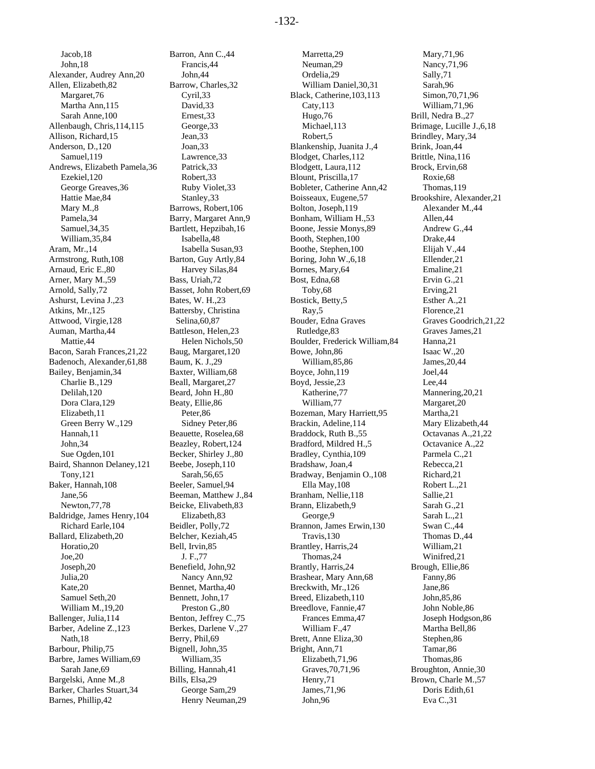Jacob,18 John,18 Alexander, Audrey Ann,20 Allen, Elizabeth,82 Margaret,76 Martha Ann,115 Sarah Anne,100 Allenbaugh, Chris,114,115 Allison, Richard,15 Anderson, D.,120 Samuel,119 Andrews, Elizabeth Pamela,36 Ezekiel,120 George Greaves,36 Hattie Mae,84 Mary M.,8 Pamela,34 Samuel,34,35 William,35,84 Aram, Mr.,14 Armstrong, Ruth,108 Arnaud, Eric E.,80 Arner, Mary M.,59 Arnold, Sally,72 Ashurst, Levina J.,23 Atkins, Mr.,125 Attwood, Virgie,128 Auman, Martha,44 Mattie,44 Bacon, Sarah Frances,21,22 Badenoch, Alexander,61,88 Bailey, Benjamin,34 Charlie B.,129 Delilah,120 Dora Clara,129 Elizabeth,11 Green Berry W.,129 Hannah,11 John,34 Sue Ogden,101 Baird, Shannon Delaney,121 Tony,121 Baker, Hannah,108 Jane,56 Newton,77,78 Baldridge, James Henry,104 Richard Earle,104 Ballard, Elizabeth,20 Horatio,20 Joe,20 Joseph,20 Julia,20 Kate,20 Samuel Seth,20 William M.,19,20 Ballenger, Julia,114 Barber, Adeline Z.,123 Nath,18 Barbour, Philip,75 Barbre, James William,69 Sarah Jane,69 Bargelski, Anne M.,8 Barker, Charles Stuart,34 Barnes, Phillip,42

Barron, Ann C.,44 Francis,44 John,44 Barrow, Charles,32 Cyril,33 David,33 Ernest,33 George,33 Jean,33 Joan,33 Lawrence,33 Patrick,33 Robert,33 Ruby Violet,33 Stanley,33 Barrows, Robert,106 Barry, Margaret Ann,9 Bartlett, Hepzibah,16 Isabella,48 Isabella Susan,93 Barton, Guy Artly,84 Harvey Silas,84 Bass, Uriah,72 Basset, John Robert,69 Bates, W. H.,23 Battersby, Christina Selina,60,87 Battleson, Helen,23 Helen Nichols,50 Baug, Margaret,120 Baum, K. J.,29 Baxter, William,68 Beall, Margaret,27 Beard, John H.,80 Beaty, Ellie,86 Peter,86 Sidney Peter,86 Beauette, Roselea,68 Beazley, Robert,124 Becker, Shirley J.,80 Beebe, Joseph,110 Sarah,56,65 Beeler, Samuel,94 Beeman, Matthew J.,84 Beicke, Elivabeth,83 Elizabeth,83 Beidler, Polly,72 Belcher, Keziah,45 Bell, Irvin,85 J. F.,77 Benefield, John,92 Nancy Ann,92 Bennet, Martha,40 Bennett, John,17 Preston G.,80 Benton, Jeffrey C.,75 Berkes, Darlene V.,27 Berry, Phil,69 Bignell, John,35 William,35 Billing, Hannah,41 Bills, Elsa,29 George Sam,29 Henry Neuman,29

Marretta,29 Neuman,29 Ordelia,29 William Daniel,30,31 Black, Catherine,103,113 Caty,113 Hugo,76 Michael,113 Robert,5 Blankenship, Juanita J.,4 Blodget, Charles,112 Blodgett, Laura,112 Blount, Priscilla,17 Bobleter, Catherine Ann,42 Boisseaux, Eugene,57 Bolton, Joseph,119 Bonham, William H.,53 Boone, Jessie Monys,89 Booth, Stephen,100 Boothe, Stephen,100 Boring, John W.,6,18 Bornes, Mary,64 Bost, Edna,68 Toby,68 Bostick, Betty,5 Ray,5 Bouder, Edna Graves Rutledge,83 Boulder, Frederick William,84 Bowe, John,86 William,85,86 Boyce, John,119 Boyd, Jessie,23 Katherine,77 William,77 Bozeman, Mary Harriett,95 Brackin, Adeline,114 Braddock, Ruth B.,55 Bradford, Mildred H.,5 Bradley, Cynthia,109 Bradshaw, Joan,4 Bradway, Benjamin O.,108 Ella May,108 Branham, Nellie,118 Brann, Elizabeth,9 George,9 Brannon, James Erwin,130 Travis,130 Brantley, Harris,24 Thomas,24 Brantly, Harris,24 Brashear, Mary Ann,68 Breckwith, Mr.,126 Breed, Elizabeth,110 Breedlove, Fannie,47 Frances Emma,47 William F.,47 Brett, Anne Eliza,30 Bright, Ann,71 Elizabeth,71,96 Graves,70,71,96 Henry,71 James,71,96 John,96

Mary,71,96 Nancy,71,96 Sally,71 Sarah,96 Simon,70,71,96 William,71,96 Brill, Nedra B.,27 Brimage, Lucille J.,6,18 Brindley, Mary,34 Brink, Joan,44 Brittle, Nina,116 Brock, Ervin,68 Roxie,68 Thomas,119 Brookshire, Alexander,21 Alexander M.,44 Allen,44 Andrew G.,44 Drake,44 Elijah V.,44 Ellender,21 Emaline,21 Ervin G.,21 Erving,21 Esther A.,21 Florence,21 Graves Goodrich,21,22 Graves James,21 Hanna,21 Isaac W.,20 James,20,44 Joel,44 Lee,44 Mannering,20,21 Margaret,20 Martha,21 Mary Elizabeth,44 Octavanas A.,21,22 Octavanice A.,22 Parmela C.,21 Rebecca,21 Richard,21 Robert L.,21 Sallie,21 Sarah G.,21 Sarah L.,21 Swan C.,44 Thomas D.,44 William,21 Winifred,21 Brough, Ellie,86 Fanny,86 Jane,86 John,85,86 John Noble,86 Joseph Hodgson,86 Martha Bell,86 Stephen,86 Tamar,86 Thomas,86 Broughton, Annie,30 Brown, Charle M.,57 Doris Edith,61 Eva C.,31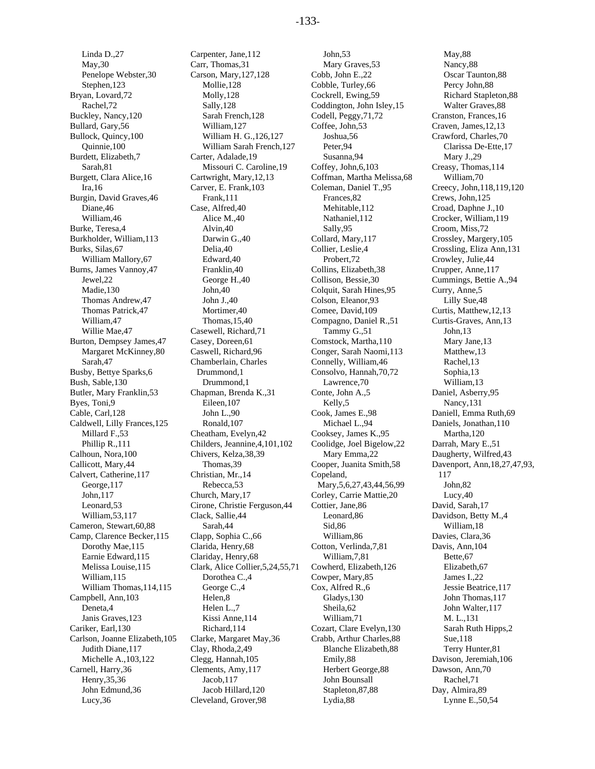Linda D.,27 May,30 Penelope Webster,30 Stephen,123 Bryan, Lovard,72 Rachel,72 Buckley, Nancy,120 Bullard, Gary,56 Bullock, Quincy,100 Quinnie,100 Burdett, Elizabeth,7 Sarah,81 Burgett, Clara Alice,16 Ira,16 Burgin, David Graves,46 Diane,46 William,46 Burke, Teresa,4 Burkholder, William,113 Burks, Silas,67 William Mallory,67 Burns, James Vannoy,47 Jewel,22 Madie,130 Thomas Andrew,47 Thomas Patrick,47 William,47 Willie Mae,47 Burton, Dempsey James,47 Margaret McKinney,80 Sarah,47 Busby, Bettye Sparks,6 Bush, Sable,130 Butler, Mary Franklin,53 Byes, Toni,9 Cable, Carl,128 Caldwell, Lilly Frances,125 Millard F.,53 Phillip R.,111 Calhoun, Nora,100 Callicott, Mary,44 Calvert, Catherine,117 George,117 John,117 Leonard,53 William,53,117 Cameron, Stewart,60,88 Camp, Clarence Becker,115 Dorothy Mae,115 Earnie Edward,115 Melissa Louise,115 William,115 William Thomas,114,115 Campbell, Ann,103 Deneta,4 Janis Graves,123 Cariker, Earl,130 Carlson, Joanne Elizabeth,105 Judith Diane,117 Michelle A.,103,122 Carnell, Harry,36 Henry,35,36 John Edmund,36 Lucy,36

Carpenter, Jane,112 Carr, Thomas,31 Carson, Mary,127,128 Mollie,128 Molly,128 Sally,128 Sarah French,128 William,127 William H. G.,126,127 William Sarah French,127 Carter, Adalade,19 Missouri C. Caroline,19 Cartwright, Mary,12,13 Carver, E. Frank,103 Frank,111 Case, Alfred,40 Alice M.,40 Alvin,40 Darwin G.,40 Delia,40 Edward,40 Franklin,40 George H.,40 John,40 John J.,40 Mortimer,40 Thomas,15,40 Casewell, Richard,71 Casey, Doreen,61 Caswell, Richard,96 Chamberlain, Charles Drummond,1 Drummond,1 Chapman, Brenda K.,31 Eileen,107 John L.,90 Ronald,107 Cheatham, Evelyn,42 Childers, Jeannine,4,101,102 Chivers, Kelza,38,39 Thomas,39 Christian, Mr.,14 Rebecca,53 Church, Mary,17 Cirone, Christie Ferguson,44 Clack, Sallie,44 Sarah,44 Clapp, Sophia C.,66 Clarida, Henry,68 Clariday, Henry,68 Clark, Alice Collier,5,24,55,71 Dorothea C.,4 George C.,4 Helen,8 Helen L.,7 Kissi Anne,114 Richard,114 Clarke, Margaret May,36 Clay, Rhoda,2,49 Clegg, Hannah,105 Clements, Amy,117 Jacob,117 Jacob Hillard,120 Cleveland, Grover,98

John,53 Mary Graves,53 Cobb, John E.,22 Cobble, Turley,66 Cockrell, Ewing,59 Coddington, John Isley,15 Codell, Peggy,71,72 Coffee, John,53 Joshua,56 Peter,94 Susanna,94 Coffey, John,6,103 Coffman, Martha Melissa,68 Coleman, Daniel T.,95 Frances,82 Mehitable,112 Nathaniel,112 Sally,95 Collard, Mary,117 Collier, Leslie,4 Probert,72 Collins, Elizabeth,38 Collison, Bessie,30 Colquit, Sarah Hines,95 Colson, Eleanor,93 Comee, David,109 Compagno, Daniel R.,51 Tammy G.,51 Comstock, Martha,110 Conger, Sarah Naomi,113 Connelly, William,46 Consolvo, Hannah,70,72 Lawrence,70 Conte, John A.,5 Kelly,5 Cook, James E.,98 Michael L.,94 Cooksey, James K.,95 Coolidge, Joel Bigelow,22 Mary Emma,22 Cooper, Juanita Smith,58 Copeland, Mary,5,6,27,43,44,56,99 Corley, Carrie Mattie,20 Cottier, Jane,86 Leonard,86 Sid,86 William,86 Cotton, Verlinda,7,81 William,7,81 Cowherd, Elizabeth,126 Cowper, Mary,85 Cox, Alfred R.,6 Gladys,130 Sheila,62 William,71 Cozart, Clare Evelyn,130 Crabb, Arthur Charles,88 Blanche Elizabeth,88 Emily,88 Herbert George,88 John Bounsall Stapleton,87,88 Lydia,88

May,88 Nancy,88 Oscar Taunton,88 Percy John,88 Richard Stapleton,88 Walter Graves,88 Cranston, Frances,16 Craven, James,12,13 Crawford, Charles,70 Clarissa De-Ette,17 Mary J.,29 Creasy, Thomas,114 William,70 Creecy, John,118,119,120 Crews, John,125 Croad, Daphne J.,10 Crocker, William,119 Croom, Miss,72 Crossley, Margery,105 Crossling, Eliza Ann,131 Crowley, Julie,44 Crupper, Anne,117 Cummings, Bettie A.,94 Curry, Anne,5 Lilly Sue,48 Curtis, Matthew,12,13 Curtis-Graves, Ann,13 John,13 Mary Jane,13 Matthew,13 Rachel,13 Sophia,13 William,13 Daniel, Asberry,95 Nancy,131 Daniell, Emma Ruth,69 Daniels, Jonathan,110 Martha,120 Darrah, Mary E.,51 Daugherty, Wilfred,43 Davenport, Ann,18,27,47,93, 117 John,82 Lucy,40 David, Sarah,17 Davidson, Betty M.,4 William,18 Davies, Clara,36 Davis, Ann,104 Bette,67 Elizabeth,67 James I.,22 Jessie Beatrice,117 John Thomas,117 John Walter,117 M. L.,131 Sarah Ruth Hipps,2 Sue,118 Terry Hunter,81 Davison, Jeremiah,106 Dawson, Ann,70 Rachel,71 Day, Almira,89 Lynne E.,50,54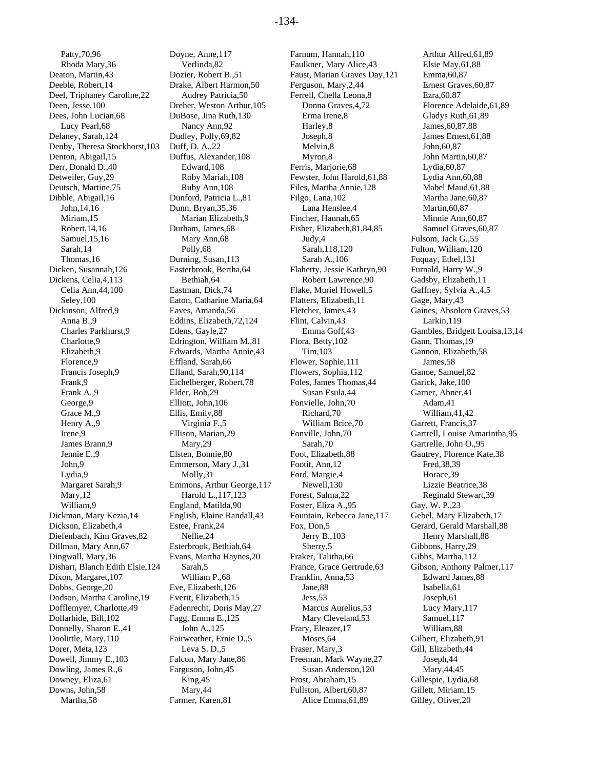Patty,70,96 Rhoda Mary,36 Deaton, Martin,43 Deeble, Robert,14 Deel, Triphaney Caroline,22 Deen, Jesse,100 Dees, John Lucian,68 Lucy Pearl,68 Delaney, Sarah,124 Denby, Theresa Stockhorst,103 Denton, Abigail,15 Derr, Donald D.,40 Detweiler, Guy,29 Deutsch, Martine,75 Dibble, Abigail,16 John,14,16 Miriam,15 Robert,14,16 Samuel,15,16 Sarah,14 Thomas,16 Dicken, Susannah,126 Dickens, Celia,4,113 Celia Ann,44,100 Seley,100 Dickinson, Alfred,9 Anna B.,9 Charles Parkhurst,9 Charlotte,9 Elizabeth,9 Florence,9 Francis Joseph,9 Frank,9 Frank A.,9 George.9 Grace M.,9 Henry A.,9 Irene,9 James Brann,9 Jennie E.,9 John,9 Lydia,9 Margaret Sarah,9 Mary,12 William,9 Dickman, Mary Kezia,14 Dickson, Elizabeth,4 Diefenbach, Kim Graves,82 Dillman, Mary Ann,67 Dingwall, Mary,36 Dishart, Blanch Edith Elsie,124 Dixon, Margaret,107 Dobbs, George,20 Dodson, Martha Caroline,19 Dofflemyer, Charlotte,49 Dollarhide, Bill,102 Donnelly, Sharon E.,41 Doolittle, Mary,110 Dorer, Meta,123 Dowell, Jimmy E.,103 Dowling, James R.,6 Downey, Eliza,61 Downs, John,58 Martha,58

Doyne, Anne,117 Verlinda,82 Dozier, Robert B.,51 Drake, Albert Harmon,50 Audrey Patricia,50 Dreher, Weston Arthur,105 DuBose, Jina Ruth,130 Nancy Ann,92 Dudley, Polly,69,82 Duff, D. A.,22 Duffus, Alexander,108 Edward,108 Roby Mariah,108 Ruby Ann,108 Dunford, Patricia L.,81 Dunn, Bryan,35,36 Marian Elizabeth,9 Durham, James,68 Mary Ann,68 Polly,68 Durning, Susan,113 Easterbrook, Bertha,64 Bethiah,64 Eastman, Dick,74 Eaton, Catharine Maria,64 Eaves, Amanda,56 Eddins, Elizabeth,72,124 Edens, Gayle,27 Edrington, William M.,81 Edwards, Martha Annie,43 Effland, Sarah,66 Efland, Sarah,90,114 Eichelberger, Robert,78 Elder, Bob,29 Elliott, John,106 Ellis, Emily,88 Virginia F.,5 Ellison, Marian,29 Mary,29 Elsten, Bonnie,80 Emmerson, Mary J.,31 Molly,31 Emmons, Arthur George,117 Harold L.,117,123 England, Matilda,90 English, Elaine Randall,43 Estee, Frank,24 Nellie,24 Esterbrook, Bethiah,64 Evans, Martha Haynes,20 Sarah,5 William P.,68 Eve, Elizabeth,126 Everit, Elizabeth,15 Fadenrecht, Doris May,27 Fagg, Emma E.,125 John A.,125 Fairweather, Ernie D.,5 Leva S. D.,5 Falcon, Mary Jane,86 Farguson, John,45 King,45 Mary,44 Farmer, Karen,81

Farnum, Hannah,110 Faulkner, Mary Alice,43 Faust, Marian Graves Day,121 Ferguson, Mary,2,44 Ferrell, Chella Leona,8 Donna Graves,4,72 Erma Irene,8 Harley,8 Joseph,8 Melvin,8 Myron,8 Ferris, Marjorie,68 Fewster, John Harold,61,88 Files, Martha Annie,128 Filgo, Lana,102 Lana Henslee,4 Fincher, Hannah,65 Fisher, Elizabeth,81,84,85 Judy,4 Sarah,118,120 Sarah A.,106 Flaherty, Jessie Kathryn,90 Robert Lawrence,90 Flake, Muriel Howell,5 Flatters, Elizabeth,11 Fletcher, James,43 Flint, Calvin,43 Emma Goff,43 Flora, Betty,102 Tim,103 Flower, Sophie,111 Flowers, Sophia,112 Foles, James Thomas,44 Susan Esula,44 Fonvielle, John,70 Richard,70 William Brice,70 Fonville, John,70 Sarah,70 Foot, Elizabeth,88 Footit, Ann,12 Ford, Margie,4 Newell,130 Forest, Salma,22 Foster, Eliza A.,95 Fountain, Rebecca Jane,117 Fox, Don,5 Jerry B.,103 Sherry,5 Fraker, Talitha,66 France, Grace Gertrude,63 Franklin, Anna,53 Jane,88 Jess,53 Marcus Aurelius,53 Mary Cleveland,53 Frary, Eleazer,17 Moses,64 Fraser, Mary,3 Freeman, Mark Wayne,27 Susan Anderson,120 Frost, Abraham,15 Fullston, Albert,60,87 Alice Emma,61,89

Arthur Alfred,61,89 Elsie May,61,88 Emma,60,87 Ernest Graves,60,87 Ezra,60,87 Florence Adelaide,61,89 Gladys Ruth,61,89 James,60,87,88 James Ernest,61,88 John,60,87 John Martin,60,87 Lydia,60,87 Lydia Ann,60,88 Mabel Maud,61,88 Martha Jane,60,87 Martin,60,87 Minnie Ann,60,87 Samuel Graves,60,87 Fulsom, Jack G.,55 Fulton, William,120 Fuquay, Ethel,131 Furnald, Harry W.,9 Gadsby, Elizabeth,11 Gaffney, Sylvia A.,4,5 Gage, Mary,43 Gaines, Absolom Graves,53 Larkin,119 Gambles, Bridgett Louisa,13,14 Gann, Thomas,19 Gannon, Elizabeth,58 James,58 Ganoe, Samuel,82 Garick, Jake,100 Garner, Abner,41 Adam,41 William,41,42 Garrett, Francis,37 Gartrell, Louise Amarintha,95 Gartrelle, John O.,95 Gautrey, Florence Kate,38 Fred,38,39 Horace,39 Lizzie Beatrice,38 Reginald Stewart,39 Gay, W. P.,23 Gebel, Mary Elizabeth,17 Gerard, Gerald Marshall,88 Henry Marshall,88 Gibbons, Harry,29 Gibbs, Martha,112 Gibson, Anthony Palmer,117 Edward James,88 Isabella,61 Joseph,61 Lucy Mary,117 Samuel,117 William,88 Gilbert, Elizabeth,91 Gill, Elizabeth,44 Joseph,44 Mary,44,45 Gillespie, Lydia,68 Gillett, Miriam,15 Gilley, Oliver,20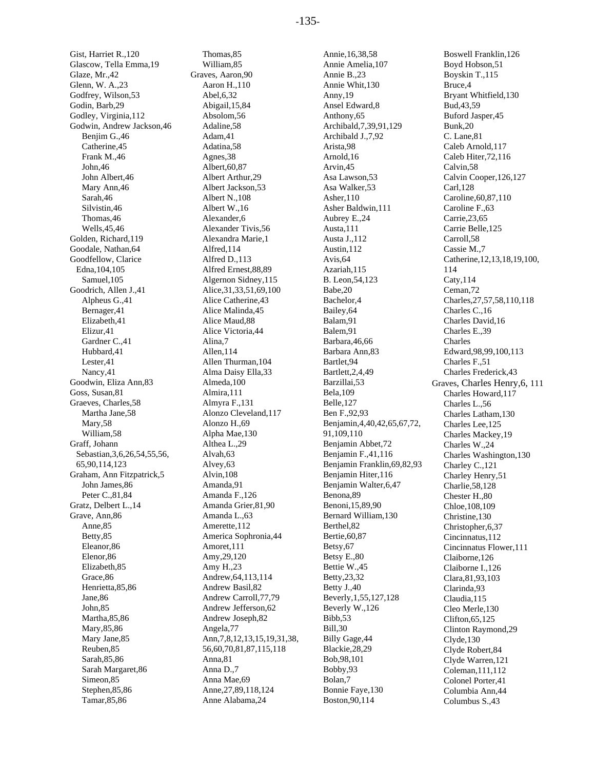Gist, Harriet R.,120 Glascow, Tella Emma,19 Glaze, Mr.,42 Glenn, W. A.,23 Godfrey, Wilson,53 Godin, Barb,29 Godley, Virginia,112 Godwin, Andrew Jackson,46 Benjim G.,46 Catherine,45 Frank M.,46 John,46 John Albert,46 Mary Ann,46 Sarah,46 Silvistin,46 Thomas,46 Wells,45,46 Golden, Richard,119 Goodale, Nathan,64 Goodfellow, Clarice Edna,104,105 Samuel,105 Goodrich, Allen J.,41 Alpheus G.,41 Bernager,41 Elizabeth,41 Elizur,41 Gardner C.,41 Hubbard,41 Lester,41 Nancy,41 Goodwin, Eliza Ann,83 Goss, Susan,81 Graeves, Charles,58 Martha Jane,58 Mary,58 William,58 Graff, Johann Sebastian,3,6,26,54,55,56, 65,90,114,123 Graham, Ann Fitzpatrick,5 John James,86 Peter C.,81,84 Gratz, Delbert L.,14 Grave, Ann,86 Anne,85 Betty,85 Eleanor,86 Elenor,86 Elizabeth,85 Grace,86 Henrietta,85,86 Jane,86 John,85 Martha,85,86 Mary,85,86 Mary Jane,85 Reuben,85 Sarah,85,86 Sarah Margaret,86 Simeon,85 Stephen,85,86 Tamar,85,86

Thomas,85 William,85 Graves, Aaron,90 Aaron H.,110 Abel,6,32 Abigail,15,84 Absolom,56 Adaline,58 Adam,41 Adatina,58 Agnes,38 Albert,60,87 Albert Arthur,29 Albert Jackson,53 Albert N.,108 Albert W.,16 Alexander,6 Alexander Tivis,56 Alexandra Marie,1 Alfred,114 Alfred D.,113 Alfred Ernest,88,89 Algernon Sidney,115 Alice,31,33,51,69,100 Alice Catherine,43 Alice Malinda,45 Alice Maud,88 Alice Victoria,44 Alina,7 Allen,114 Allen Thurman,104 Alma Daisy Ella,33 Almeda,100 Almira,111 Almyra F.,131 Alonzo Cleveland,117 Alonzo H.,69 Alpha Mae,130 Althea L.,29 Alvah,63 Alvey,63 Alvin,108 Amanda,91 Amanda F.,126 Amanda Grier,81,90 Amanda L.,63 Amerette,112 America Sophronia,44 Amoret,111 Amy,29,120 Amy H.,23 Andrew,64,113,114 Andrew Basil,82 Andrew Carroll,77,79 Andrew Jefferson,62 Andrew Joseph,82 Angela,77 Ann,7,8,12,13,15,19,31,38, 56,60,70,81,87,115,118 Anna,81 Anna D.,7 Anna Mae,69 Anne,27,89,118,124 Anne Alabama,24

Annie,16,38,58 Annie Amelia,107 Annie B.,23 Annie Whit,130 Anny,19 Ansel Edward,8 Anthony,65 Archibald,7,39,91,129 Archibald J.,7,92 Arista,98 Arnold,16 Arvin,45 Asa Lawson,53 Asa Walker,53 Asher,110 Asher Baldwin,111 Aubrey E.,24 Austa,111 Austa J.,112 Austin,112 Avis,64 Azariah,115 B. Leon,54,123 Babe,20 Bachelor,4 Bailey,64 Balam,91 Balem,91 Barbara,46,66 Barbara Ann,83 Bartlet,94 Bartlett,2,4,49 Barzillai,53 Bela,109 Belle,127 Ben F.,92,93 Benjamin,4,40,42,65,67,72, 91,109,110 Benjamin Abbet,72 Benjamin F.,41,116 Benjamin Franklin,69,82,93 Benjamin Hiter,116 Benjamin Walter,6,47 Benona,89 Benoni,15,89,90 Bernard William,130 Berthel,82 Bertie,60,87 Betsy,67 Betsy E.,80 Bettie W.,45 Betty,23,32 Betty J.,40 Beverly,1,55,127,128 Beverly W.,126 Bibb,53 Bill,30 Billy Gage,44 Blackie,28,29 Bob,98,101 Bobby,93 Bolan,7 Bonnie Faye,130 Boston,90,114

Boswell Franklin,126 Boyd Hobson,51 Boyskin T.,115 Bruce,4 Bryant Whitfield,130 Bud,43,59 Buford Jasper,45 Bunk,20 C. Lane,81 Caleb Arnold,117 Caleb Hiter,72,116 Calvin,58 Calvin Cooper,126,127 Carl,128 Caroline,60,87,110 Caroline F.,63 Carrie,23,65 Carrie Belle,125 Carroll,58 Cassie M.,7 Catherine,12,13,18,19,100, 114 Caty,114 Ceman,72 Charles,27,57,58,110,118 Charles C.,16 Charles David,16 Charles E.,39 Charles Edward,98,99,100,113 Charles F.,51 Charles Frederick,43 Graves, Charles Henry,6, 111 Charles Howard,117 Charles L.,56 Charles Latham,130 Charles Lee,125 Charles Mackey,19 Charles W.,24 Charles Washington,130 Charley C.,121 Charley Henry,51 Charlie,58,128 Chester H.,80 Chloe,108,109 Christine,130 Christopher,6,37 Cincinnatus,112 Cincinnatus Flower,111 Claiborne,126 Claiborne I.,126 Clara,81,93,103 Clarinda,93 Claudia,115 Cleo Merle,130 Clifton,65,125 Clinton Raymond,29 Clyde,130 Clyde Robert,84 Clyde Warren,121 Coleman,111,112 Colonel Porter,41 Columbia Ann,44 Columbus S.,43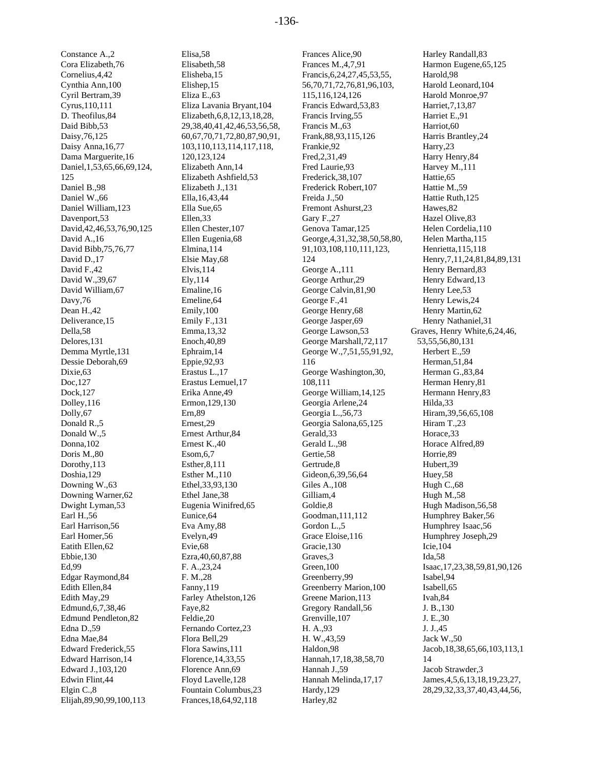-136-

Constance A.,2 Cora Elizabeth,76 Cornelius,4,42 Cynthia Ann,100 Cyril Bertram,39 Cyrus,110,111 D. Theofilus,84 Daid Bibb,53 Daisy,76,125 Daisy Anna,16,77 Dama Marguerite,16 Daniel,1,53,65,66,69,124, 125 Daniel B.,98 Daniel W.,66 Daniel William,123 Davenport,53 David,42,46,53,76,90,125 David A.,16 David Bibb,75,76,77 David D.,17 David F.,42 David W.,39,67 David William,67 Davy,76 Dean H.,42 Deliverance,15 Della,58 Delores,131 Demma Myrtle,131 Dessie Deborah,69 Dixie,63 Doc,127 Dock,127 Dolley,116 Dolly,67 Donald R.,5 Donald W.,5 Donna,102 Doris M.,80 Dorothy,113 Doshia,129 Downing W.,63 Downing Warner,62 Dwight Lyman,53 Earl H.,56 Earl Harrison,56 Earl Homer,56 Eatith Ellen,62 Ebbie,130 Ed,99 Edgar Raymond,84 Edith Ellen,84 Edith May,29 Edmund,6,7,38,46 Edmund Pendleton,82 Edna D.,59 Edna Mae,84 Edward Frederick,55 Edward Harrison,14 Edward J.,103,120 Edwin Flint,44 Elgin C.,8 Elijah,89,90,99,100,113

Elisa,58 Elisabeth,58 Elisheba,15 Elishep,15 Eliza E.,63 Eliza Lavania Bryant,104 Elizabeth,6,8,12,13,18,28, 29,38,40,41,42,46,53,56,58, 60,67,70,71,72,80,87,90,91, 103,110,113,114,117,118, 120,123,124 Elizabeth Ann,14 Elizabeth Ashfield,53 Elizabeth J.,131 Ella,16,43,44 Ella Sue,65 Ellen,33 Ellen Chester,107 Ellen Eugenia,68 Elmina,114 Elsie May,68 Elvis,114 Ely,114 Emaline,16 Emeline,64 Emily,100 Emily F.,131 Emma,13,32 Enoch,40,89 Ephraim,14 Eppie,92,93 Erastus L.,17 Erastus Lemuel,17 Erika Anne,49 Ermon,129,130 Ern,89 Ernest,29 Ernest Arthur,84 Ernest K.,40 Esom,6,7 Esther,8,111 Esther M.,110 Ethel,33,93,130 Ethel Jane,38 Eugenia Winifred,65 Eunice,64 Eva Amy,88 Evelyn,49 Evie,68 Ezra,40,60,87,88 F. A.,23,24 F. M.,28 Fanny,119 Farley Athelston,126 Faye,82 Feldie,20 Fernando Cortez,23 Flora Bell,29 Flora Sawins,111 Florence,14,33,55 Florence Ann,69 Floyd Lavelle,128 Fountain Columbus,23 Frances,18,64,92,118

Frances Alice,90 Frances M.,4,7,91 Francis,6,24,27,45,53,55, 56,70,71,72,76,81,96,103, 115,116,124,126 Francis Edward,53,83 Francis Irving,55 Francis M.,63 Frank,88,93,115,126 Frankie,92 Fred,2,31,49 Fred Laurie,93 Frederick,38,107 Frederick Robert,107 Freida J.,50 Fremont Ashurst,23 Gary F.,27 Genova Tamar,125 George,4,31,32,38,50,58,80, 91,103,108,110,111,123, 124 George A.,111 George Arthur,29 George Calvin,81,90 George F.,41 George Henry,68 George Jasper,69 George Lawson,53 George Marshall,72,117 George W.,7,51,55,91,92, 116 George Washington,30, 108,111 George William,14,125 Georgia Arlene,24 Georgia L.,56,73 Georgia Salona,65,125 Gerald,33 Gerald L.,98 Gertie,58 Gertrude,8 Gideon,6,39,56,64 Giles A.,108 Gilliam,4 Goldie,8 Goodman,111,112 Gordon L.,5 Grace Eloise,116 Gracie,130 Graves,3 Green,100 Greenberry,99 Greenberry Marion,100 Greene Marion,113 Gregory Randall,56 Grenville,107 H. A.,93 H. W.,43,59 Haldon,98 Hannah,17,18,38,58,70 Hannah J.,59 Hannah Melinda,17,17 Hardy,129 Harley,82

Harley Randall,83 Harmon Eugene,65,125 Harold,98 Harold Leonard,104 Harold Monroe,97 Harriet,7,13,87 Harriet E.,91 Harriot,60 Harris Brantley,24 Harry,23 Harry Henry,84 Harvey M.,111 Hattie,65 Hattie M.,59 Hattie Ruth,125 Hawes,82 Hazel Olive,83 Helen Cordelia,110 Helen Martha,115 Henrietta,115,118 Henry,7,11,24,81,84,89,131 Henry Bernard,83 Henry Edward,13 Henry Lee,53 Henry Lewis,24 Henry Martin,62 Henry Nathaniel,31 Graves, Henry White,6,24,46, 53,55,56,80,131 Herbert E.,59 Herman,51,84 Herman G.,83,84 Herman Henry,81 Hermann Henry,83 Hilda,33 Hiram,39,56,65,108 Hiram T.,23 Horace,33 Horace Alfred,89 Horrie,89 Hubert,39 Huey,58 Hugh C.,68 Hugh M.,58 Hugh Madison,56,58 Humphrey Baker,56 Humphrey Isaac,56 Humphrey Joseph,29 Icie,104 Ida,58 Isaac,17,23,38,59,81,90,126 Isabel,94 Isabell,65 Ivah,84 J. B.,130 J. E.,30 J. J.,45 Jack W.,50 Jacob,18,38,65,66,103,113,1 14 Jacob Strawder,3 James,4,5,6,13,18,19,23,27, 28,29,32,33,37,40,43,44,56,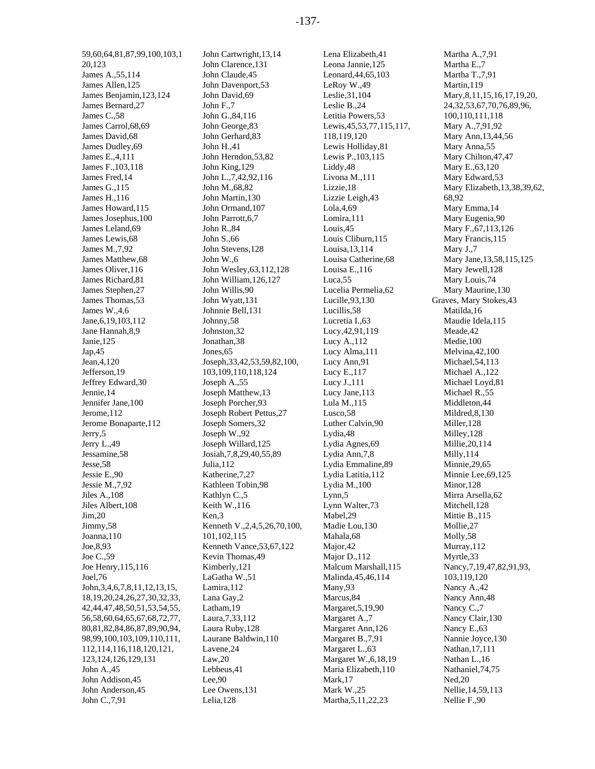59,60,64,81,87,99,100,103,1 20,123 James A.,55,114 James Allen,125 James Benjamin,123,124 James Bernard,27 James C.,58 James Carrol,68,69 James David,68 James Dudley,69 James E.,4,111 James F.,103,118 James Fred,14 James G.,115 James H.,116 James Howard,115 James Josephus,100 James Leland,69 James Lewis,68 James M.,7,92 James Matthew,68 James Oliver,116 James Richard,81 James Stephen,27 James Thomas,53 James W.,4,6 Jane,6,19,103,112 Jane Hannah,8,9 Janie,125 Jap,45 Jean,4,120 Jefferson,19 Jeffrey Edward,30 Jennie,14 Jennifer Jane,100 Jerome,112 Jerome Bonaparte,112 Jerry,5 Jerry L.,49 Jessamine,58 Jesse,58 Jessie E.,90 Jessie M.,7,92 Jiles A.,108 Jiles Albert,108 Jim,20 Jimmy,58 Joanna,110 Joe,8,93 Joe C.,59 Joe Henry,115,116 Joel,76 John,3,4,6,7,8,11,12,13,15, 18,19,20,24,26,27,30,32,33, 42,44,47,48,50,51,53,54,55, 56,58,60,64,65,67,68,72,77, 80,81,82,84,86,87,89,90,94, 98,99,100,103,109,110,111, 112,114,116,118,120,121, 123,124,126,129,131 John A<sub>, 45</sub> John Addison,45 John Anderson,45 John C.,7,91

John Cartwright,13,14 John Clarence,131 John Claude,45 John Davenport,53 John David,69 John F.,7 John G.,84,116 John George,83 John Gerhard,83 John H.,41 John Herndon,53,82 John King,129 John L.,7,42,92,116 John M.,68,82 John Martin,130 John Ormand,107 John Parrott,6,7 John R.,84 John S.,66 John Stevens,128 John W.,6 John Wesley,63,112,128 John William,126,127 John Willis,90 John Wyatt,131 Johnnie Bell,131 Johnny,58 Johnston,32 Jonathan,38 Jones,65 Joseph,33,42,53,59,82,100, 103,109,110,118,124 Joseph A.,55 Joseph Matthew,13 Joseph Porcher,93 Joseph Robert Pettus,27 Joseph Somers,32 Joseph W.,92 Joseph Willard,125 Josiah,7,8,29,40,55,89 Julia,112 Katherine,7,27 Kathleen Tobin,98 Kathlyn C.,5 Keith W.,116 Ken,3 Kenneth V.,2,4,5,26,70,100, 101,102,115 Kenneth Vance,53,67,122 Kevin Thomas,49 Kimberly,121 LaGatha W.,51 Lamira,112 Lana Gay,2 Latham,19 Laura,7,33,112 Laura Ruby,128 Laurane Baldwin,110 Lavene,24 Law,20 Lebbeus,41 Lee,90 Lee Owens,131 Lelia,128

Lena Elizabeth,41 Leona Jannie,125 Leonard,44,65,103 LeRoy W.,49 Leslie,31,104 Leslie B.,24 Letitia Powers,53 Lewis,45,53,77,115,117, 118,119,120 Lewis Holliday,81 Lewis P.,103,115 Liddy,48 Livona M.,111 Lizzie,18 Lizzie Leigh,43 Lola,4,69 Lomira,111 Louis,45 Louis Cliburn,115 Louisa,13,114 Louisa Catherine,68 Louisa E.,116 Luca,55 Lucelia Permelia,62 Lucille,93,130 Lucillis,58 Lucretia I.,63 Lucy,42,91,119 Lucy A.,112 Lucy Alma,111 Lucy Ann,91 Lucy E.,117 Lucy J.,111 Lucy Jane,113 Lula M.,115 Lusco,58 Luther Calvin,90 Lydia,48 Lydia Agnes,69 Lydia Ann,7,8 Lydia Emmaline,89 Lydia Latitia,112 Lydia M.,100 Lynn,5 Lynn Walter,73 Mabel,29 Madie Lou,130 Mahala,68 Major,42 Major D.,112 Malcum Marshall,115 Malinda,45,46,114 Many,93 Marcus,84 Margaret,5,19,90 Margaret A.,7 Margaret Ann,126 Margaret B.,7,91 Margaret L.,63 Margaret W.,6,18,19 Maria Elizabeth,110 Mark,17 Mark W.,25 Martha,5,11,22,23

Martha A.,7,91 Martha E.,7 Martha T.,7,91 Martin,119 Mary,8,11,15,16,17,19,20, 24,32,53,67,70,76,89,96, 100,110,111,118 Mary A.,7,91,92 Mary Ann,13,44,56 Mary Anna,55 Mary Chilton,47,47 Mary E.,63,120 Mary Edward,53 Mary Elizabeth,13,38,39,62, 68,92 Mary Emma,14 Mary Eugenia,90 Mary F.,67,113,126 Mary Francis,115 Mary J.,7 Mary Jane,13,58,115,125 Mary Jewell,128 Mary Louis,74 Mary Maurine,130 Graves, Mary Stokes,43 Matilda,16 Maudie Idela,115 Meade,42 Medie,100 Melvina,42,100 Michael,54,113 Michael A.,122 Michael Loyd,81 Michael R.,55 Middleton,44 Mildred,8,130 Miller,128 Milley,128 Millie,20,114 Milly,114 Minnie,29,65 Minnie Lee,69,125 Minor,128 Mirra Arsella,62 Mitchell,128 Mittie B.,115 Mollie,27 Molly,58 Murray,112 Myrtle,33 Nancy,7,19,47,82,91,93, 103,119,120 Nancy A.,42 Nancy Ann,48 Nancy C.,7 Nancy Clair,130 Nancy E.,63 Nannie Joyce,130 Nathan,17,111 Nathan L.,16 Nathaniel,74,75 Ned,20 Nellie,14,59,113 Nellie F.,90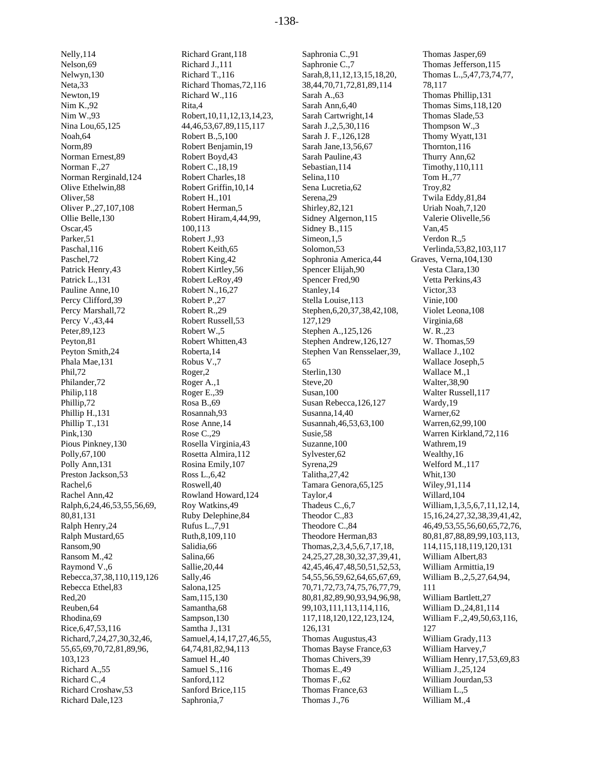Nelly,114 Nelson,69 Nelwyn,130 Neta,33 Newton,19 Nim K.,92 Nim W.,93 Nina Lou,65,125 Noah,64 Norm,89 Norman Ernest,89 Norman F.,27 Norman Rerginald,124 Olive Ethelwin,88 Oliver,58 Oliver P.,27,107,108 Ollie Belle,130 Oscar,45 Parker,51 Paschal,116 Paschel,72 Patrick Henry,43 Patrick L.,131 Pauline Anne,10 Percy Clifford,39 Percy Marshall,72 Percy V.,43,44 Peter,89,123 Peyton,81 Peyton Smith,24 Phala Mae,131 Phil,72 Philander,72 Philip,118 Phillip,72 Phillip H.,131 Phillip T.,131 Pink,130 Pious Pinkney,130 Polly,67,100 Polly Ann,131 Preston Jackson,53 Rachel,6 Rachel Ann,42 Ralph,6,24,46,53,55,56,69, 80,81,131 Ralph Henry,24 Ralph Mustard,65 Ransom,90 Ransom M.,42 Raymond V.,6 Rebecca,37,38,110,119,126 Rebecca Ethel,83 Red,20 Reuben,64 Rhodina,69 Rice,6,47,53,116 Richard,7,24,27,30,32,46, 55,65,69,70,72,81,89,96, 103,123 Richard A.,55 Richard C.,4 Richard Croshaw,53

Richard Dale,123

Richard Grant,118 Richard J.,111 Richard T.,116 Richard Thomas,72,116 Richard W.,116 Rita,4 Robert,10,11,12,13,14,23, 44,46,53,67,89,115,117 Robert B.,5,100 Robert Benjamin,19 Robert Boyd,43 Robert C.,18,19 Robert Charles,18 Robert Griffin,10,14 Robert H.,101 Robert Herman,5 Robert Hiram,4,44,99, 100,113 Robert J.,93 Robert Keith,65 Robert King,42 Robert Kirtley,56 Robert LeRoy,49 Robert N.,16,27 Robert P.,27 Robert R.,29 Robert Russell,53 Robert W.,5 Robert Whitten,43 Roberta,14 Robus V.,7 Roger,2 Roger A.,1 Roger E.,39 Rosa B.,69 Rosannah,93 Rose Anne,14 Rose C.,29 Rosella Virginia,43 Rosetta Almira,112 Rosina Emily,107 Ross L.,6,42 Roswell,40 Rowland Howard,124 Roy Watkins,49 Ruby Delephine,84 Rufus L.,7,91 Ruth,8,109,110 Salidia,66 Salina,66 Sallie,20,44 Sally,46 Salona,125 Sam,115,130 Samantha,68 Sampson,130 Samtha J.,131 Samuel,4,14,17,27,46,55, 64,74,81,82,94,113 Samuel H.,40 Samuel S.,116 Sanford,112 Sanford Brice,115 Saphronia,7

Saphronia C.,91 Saphronie C.,7 Sarah,8,11,12,13,15,18,20, 38,44,70,71,72,81,89,114 Sarah A.,63 Sarah Ann,6,40 Sarah Cartwright,14 Sarah J.,2,5,30,116 Sarah J. F.,126,128 Sarah Jane,13,56,67 Sarah Pauline,43 Sebastian,114 Selina,110 Sena Lucretia,62 Serena,29 Shirley,82,121 Sidney Algernon,115 Sidney B.,115 Simeon,1,5 Solomon,53 Sophronia America,44 Spencer Elijah,90 Spencer Fred,90 Stanley,14 Stella Louise,113 Stephen,6,20,37,38,42,108, 127,129 Stephen A.,125,126 Stephen Andrew,126,127 Stephen Van Rensselaer,39, 65 Sterlin,130 Steve,20 Susan,100 Susan Rebecca,126,127 Susanna,14,40 Susannah,46,53,63,100 Susie,58 Suzanne,100 Sylvester,62 Syrena,29 Talitha,27,42 Tamara Genora,65,125 Taylor,4 Thadeus C.,6,7 Theodor C.,83 Theodore C.,84 Theodore Herman,83 Thomas,2,3,4,5,6,7,17,18, 24,25,27,28,30,32,37,39,41, 42,45,46,47,48,50,51,52,53, 54,55,56,59,62,64,65,67,69, 70,71,72,73,74,75,76,77,79, 80,81,82,89,90,93,94,96,98, 99,103,111,113,114,116, 117,118,120,122,123,124, 126,131 Thomas Augustus,43 Thomas Bayse France,63 Thomas Chivers,39 Thomas E.,49 Thomas F.,62 Thomas France,63 Thomas J.,76

Thomas Jasper,69 Thomas Jefferson,115 Thomas L.,5,47,73,74,77, 78,117 Thomas Phillip,131 Thomas Sims,118,120 Thomas Slade,53 Thompson W.,3 Thomy Wyatt,131 Thornton,116 Thurry Ann,62 Timothy,110,111 Tom H.,77 Troy,82 Twila Eddy,81,84 Uriah Noah,7,120 Valerie Olivelle,56 Van,45 Verdon R.,5 Verlinda,53,82,103,117 Graves, Verna,104,130 Vesta Clara,130 Vetta Perkins,43 Victor,33 Vinie,100 Violet Leona,108 Virginia,68 W. R.,23 W. Thomas,59 Wallace J.,102 Wallace Joseph,5 Wallace M.,1 Walter,38,90 Walter Russell,117 Wardy,19 Warner,62 Warren,62,99,100 Warren Kirkland,72,116 Wathrem,19 Wealthy,16 Welford M.,117 Whit,130 Wiley,91,114 Willard,104 William,1,3,5,6,7,11,12,14, 15,16,24,27,32,38,39,41,42, 46,49,53,55,56,60,65,72,76, 80,81,87,88,89,99,103,113, 114,115,118,119,120,131 William Albert,83 William Armittia,19 William B.,2,5,27,64,94, 111 William Bartlett,27 William D.,24,81,114 William F.,2,49,50,63,116, 127 William Grady,113 William Harvey,7 William Henry,17,53,69,83 William J.,25,124 William Jourdan,53 William L.,5 William M.,4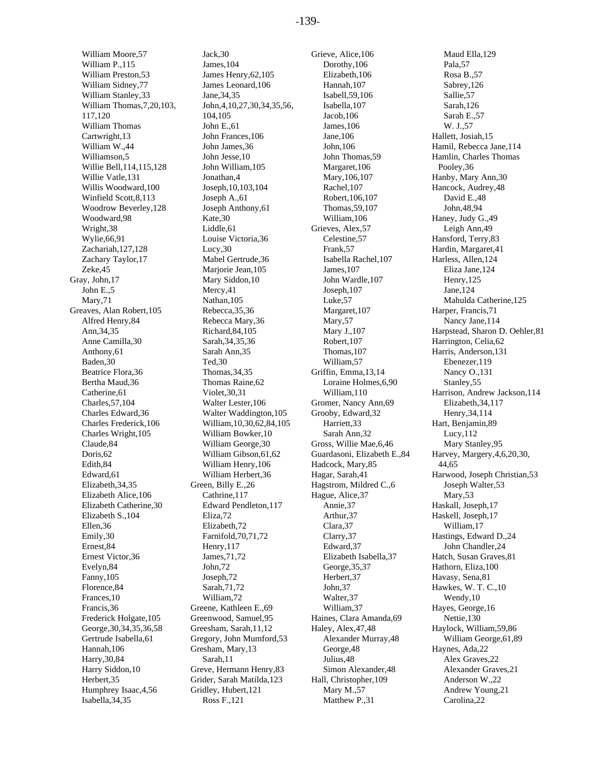William Moore,57 William P.,115 William Preston,53 William Sidney,77 William Stanley,33 William Thomas,7,20,103, 117,120 William Thomas Cartwright,13 William W.,44 Williamson,5 Willie Bell,114,115,128 Willie Vatle,131 Willis Woodward,100 Winfield Scott,8,113 Woodrow Beverley,128 Woodward,98 Wright,38 Wylie,66,91 Zachariah,127,128 Zachary Taylor,17 Zeke,45 Gray, John,17 John E.,5 Mary,71 Greaves, Alan Robert,105 Alfred Henry,84 Ann,34,35 Anne Camilla,30 Anthony,61 Baden,30 Beatrice Flora,36 Bertha Maud,36 Catherine,61 Charles,57,104 Charles Edward,36 Charles Frederick,106 Charles Wright,105 Claude,84 Doris,62 Edith,84 Edward,61 Elizabeth,34,35 Elizabeth Alice,106 Elizabeth Catherine,30 Elizabeth S.,104 Ellen,36 Emily,30 Ernest,84 Ernest Victor,36 Evelyn,84 Fanny,105 Florence,84 Frances,10 Francis,36 Frederick Holgate,105 George,30,34,35,36,58 Gertrude Isabella,61 Hannah,106 Harry,30,84 Harry Siddon,10 Herbert,35 Humphrey Isaac,4,56 Isabella,34,35

Jack,30 James,104 James Henry,62,105 James Leonard,106 Jane,34,35 John,4,10,27,30,34,35,56, 104,105 John E.,61 John Frances,106 John James,36 John Jesse,10 John William,105 Jonathan,4 Joseph,10,103,104 Joseph A.,61 Joseph Anthony,61 Kate,30 Liddle,61 Louise Victoria,36 Lucy,30 Mabel Gertrude,36 Mariorie Jean, 105 Mary Siddon,10 Mercy,41 Nathan,105 Rebecca,35,36 Rebecca Mary,36 Richard,84,105 Sarah,34,35,36 Sarah Ann,35 Ted,30 Thomas,34,35 Thomas Raine,62 Violet,30,31 Walter Lester,106 Walter Waddington,105 William,10,30,62,84,105 William Bowker,10 William George,30 William Gibson,61,62 William Henry,106 William Herbert,36 Green, Billy E.,26 Cathrine,117 Edward Pendleton,117 Eliza,72 Elizabeth,72 Farnifold,70,71,72 Henry,117 James,71,72 John,72 Joseph,72 Sarah,71,72 William,72 Greene, Kathleen E.,69 Greenwood, Samuel,95 Greesham, Sarah,11,12 Gregory, John Mumford,53 Gresham, Mary,13 Sarah,11 Greve, Hermann Henry,83 Grider, Sarah Matilda,123 Gridley, Hubert,121 Ross F.,121

Grieve, Alice,106 Dorothy,106 Elizabeth,106 Hannah,107 Isabell,59,106 Isabella,107 Jacob,106 James,106 Jane,106 John,106 John Thomas,59 Margaret,106 Mary,106,107 Rachel,107 Robert,106,107 Thomas,59,107 William,106 Grieves, Alex,57 Celestine,57 Frank,57 Isabella Rachel,107 James,107 John Wardle,107 Joseph,107 Luke,57 Margaret,107 Mary<sub>,57</sub> Mary J.,107 Robert,107 Thomas,107 William,57 Griffin, Emma,13,14 Loraine Holmes,6,90 William,110 Gromer, Nancy Ann,69 Grooby, Edward,32 Harriett,33 Sarah Ann,32 Gross, Willie Mae,6,46 Guardasoni, Elizabeth E.,84 Hadcock, Mary,85 Hagar, Sarah,41 Hagstrom, Mildred C.,6 Hague, Alice,37 Annie,37 Arthur,37 Clara,37 Clarry,37 Edward,37 Elizabeth Isabella,37 George,35,37 Herbert,37 John,37 Walter,37 William,37 Haines, Clara Amanda,69 Haley, Alex,47,48 Alexander Murray,48 George,48 Julius,48 Simon Alexander,48 Hall, Christopher,109 Mary M.,57 Matthew P.,31

Maud Ella,129 Pala,57 Rosa B.,57 Sabrey,126 Sallie,57 Sarah,126 Sarah E.,57 W. J.,57 Hallett, Josiah,15 Hamil, Rebecca Jane,114 Hamlin, Charles Thomas Pooley,36 Hanby, Mary Ann,30 Hancock, Audrey,48 David E.,48 John,48,94 Haney, Judy G.,49 Leigh Ann,49 Hansford, Terry,83 Hardin, Margaret,41 Harless, Allen,124 Eliza Jane,124 Henry,125 Jane,124 Mahulda Catherine,125 Harper, Francis,71 Nancy Jane,114 Harpstead, Sharon D. Oehler,81 Harrington, Celia,62 Harris, Anderson,131 Ebenezer,119 Nancy O.,131 Stanley,55 Harrison, Andrew Jackson,114 Elizabeth,34,117 Henry,34,114 Hart, Benjamin,89 Lucy,112 Mary Stanley,95 Harvey, Margery,4,6,20,30, 44,65 Harwood, Joseph Christian,53 Joseph Walter,53 Mary,53 Haskall, Joseph,17 Haskell, Joseph,17 William,17 Hastings, Edward D.,24 John Chandler,24 Hatch, Susan Graves,81 Hathorn, Eliza,100 Havasy, Sena,81 Hawkes, W. T. C.,10 Wendy,10 Hayes, George,16 Nettie,130 Haylock, William,59,86 William George,61,89 Haynes, Ada,22 Alex Graves,22 Alexander Graves,21 Anderson W.,22 Andrew Young,21 Carolina,22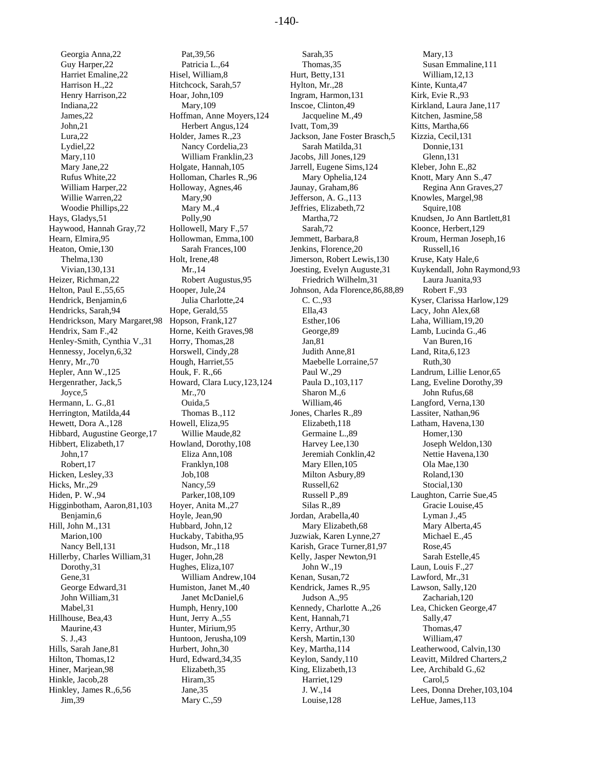Georgia Anna,22 Guy Harper,22 Harriet Emaline,22 Harrison H.,22 Henry Harrison,22 Indiana,22 James,22 John,21 Lura,22 Lydiel,22 Mary,110 Mary Jane,22 Rufus White,22 William Harper,22 Willie Warren,22 Woodie Phillips,22 Hays, Gladys,51 Haywood, Hannah Gray,72 Hearn, Elmira,95 Heaton, Omie,130 Thelma,130 Vivian,130,131 Heizer, Richman,22 Helton, Paul E.,55,65 Hendrick, Benjamin,6 Hendricks, Sarah,94 Hendrickson, Mary Margaret,98 Hendrix, Sam F.,42 Henley-Smith, Cynthia V.,31 Hennessy, Jocelyn,6,32 Henry, Mr.,70 Hepler, Ann W.,125 Hergenrather, Jack,5 Joyce,5 Hermann, L. G.,81 Herrington, Matilda,44 Hewett, Dora A.,128 Hibbard, Augustine George,17 Hibbert, Elizabeth,17 John,17 Robert,17 Hicken, Lesley,33 Hicks, Mr.,29 Hiden, P. W.,94 Higginbotham, Aaron,81,103 Benjamin,6 Hill, John M.,131 Marion,100 Nancy Bell,131 Hillerby, Charles William,31 Dorothy,31 Gene,31 George Edward,31 John William,31 Mabel,31 Hillhouse, Bea,43 Maurine,43 S. J.,43 Hills, Sarah Jane,81 Hilton, Thomas,12 Hiner, Marjean,98 Hinkle, Jacob,28 Hinkley, James R.,6,56 Jim,39

Pat,39,56 Patricia L.,64 Hisel, William,8 Hitchcock, Sarah,57 Hoar, John,109 Mary,109 Hoffman, Anne Moyers,124 Herbert Angus,124 Holder, James R.,23 Nancy Cordelia,23 William Franklin,23 Holgate, Hannah,105 Holloman, Charles R.,96 Holloway, Agnes,46 Mary,90 Mary M.,4 Polly,90 Hollowell, Mary F.,57 Hollowman, Emma,100 Sarah Frances,100 Holt, Irene,48 Mr.,14 Robert Augustus,95 Hooper, Jule,24 Julia Charlotte,24 Hope, Gerald,55 Hopson, Frank,127 Horne, Keith Graves,98 Horry, Thomas,28 Horswell, Cindy,28 Hough, Harriet,55 Houk, F. R.,66 Howard, Clara Lucy,123,124 Mr.,70 Ouida,5 Thomas B.,112 Howell, Eliza,95 Willie Maude,82 Howland, Dorothy,108 Eliza Ann,108 Franklyn,108 Job,108 Nancy,59 Parker,108,109 Hoyer, Anita M.,27 Hoyle, Jean,90 Hubbard, John,12 Huckaby, Tabitha,95 Hudson, Mr.,118 Huger, John,28 Hughes, Eliza,107 William Andrew,104 Humiston, Janet M.,40 Janet McDaniel,6 Humph, Henry,100 Hunt, Jerry A.,55 Hunter, Mirium,95 Huntoon, Jerusha,109 Hurbert, John,30 Hurd, Edward,34,35 Elizabeth,35 Hiram,35 Jane,35 Mary C.,59

Sarah,35 Thomas,35 Hurt, Betty,131 Hylton, Mr.,28 Ingram, Harmon,131 Inscoe, Clinton,49 Jacqueline M.,49 Ivatt, Tom,39 Jackson, Jane Foster Brasch,5 Sarah Matilda,31 Jacobs, Jill Jones,129 Jarrell, Eugene Sims,124 Mary Ophelia,124 Jaunay, Graham,86 Jefferson, A. G.,113 Jeffries, Elizabeth,72 Martha,72 Sarah,72 Jemmett, Barbara,8 Jenkins, Florence,20 Jimerson, Robert Lewis,130 Joesting, Evelyn Auguste,31 Friedrich Wilhelm,31 Johnson, Ada Florence,86,88,89 C. C.,93 Ella,43 Esther,106 George,89 Jan,81 Judith Anne,81 Maebelle Lorraine,57 Paul W.,29 Paula D.,103,117 Sharon M.,6 William,46 Jones, Charles R.,89 Elizabeth,118 Germaine L.,89 Harvey Lee,130 Jeremiah Conklin,42 Mary Ellen,105 Milton Asbury,89 Russell,62 Russell P.,89 Silas R.,89 Jordan, Arabella,40 Mary Elizabeth,68 Juzwiak, Karen Lynne,27 Karish, Grace Turner,81,97 Kelly, Jasper Newton,91 John W.,19 Kenan, Susan,72 Kendrick, James R.,95 Judson A.,95 Kennedy, Charlotte A.,26 Kent, Hannah,71 Kerry, Arthur,30 Kersh, Martin,130 Key, Martha,114 Keylon, Sandy,110 King, Elizabeth,13 Harriet,129 J. W.,14 Louise,128

Mary,13 Susan Emmaline,111 William,12,13 Kinte, Kunta,47 Kirk, Evie R.,93 Kirkland, Laura Jane,117 Kitchen, Jasmine,58 Kitts, Martha,66 Kizzia, Cecil,131 Donnie,131 Glenn,131 Kleber, John E.,82 Knott, Mary Ann S.,47 Regina Ann Graves,27 Knowles, Margel,98 Squire,108 Knudsen, Jo Ann Bartlett,81 Koonce, Herbert,129 Kroum, Herman Joseph,16 Russell,16 Kruse, Katy Hale,6 Kuykendall, John Raymond,93 Laura Juanita,93 Robert F.,93 Kyser, Clarissa Harlow,129 Lacy, John Alex,68 Laha, William,19,20 Lamb, Lucinda G.,46 Van Buren,16 Land, Rita,6,123 Ruth,30 Landrum, Lillie Lenor,65 Lang, Eveline Dorothy,39 John Rufus,68 Langford, Verna,130 Lassiter, Nathan,96 Latham, Havena,130 Homer,130 Joseph Weldon,130 Nettie Havena,130 Ola Mae,130 Roland,130 Stocial,130 Laughton, Carrie Sue,45 Gracie Louise,45 Lyman J.,45 Mary Alberta,45 Michael E.,45 Rose,45 Sarah Estelle,45 Laun, Louis F.,27 Lawford, Mr.,31 Lawson, Sally,120 Zachariah,120 Lea, Chicken George,47 Sally,47 Thomas,47 William,47 Leatherwood, Calvin,130 Leavitt, Mildred Charters,2 Lee, Archibald G.,62 Carol,5 Lees, Donna Dreher,103,104 LeHue, James,113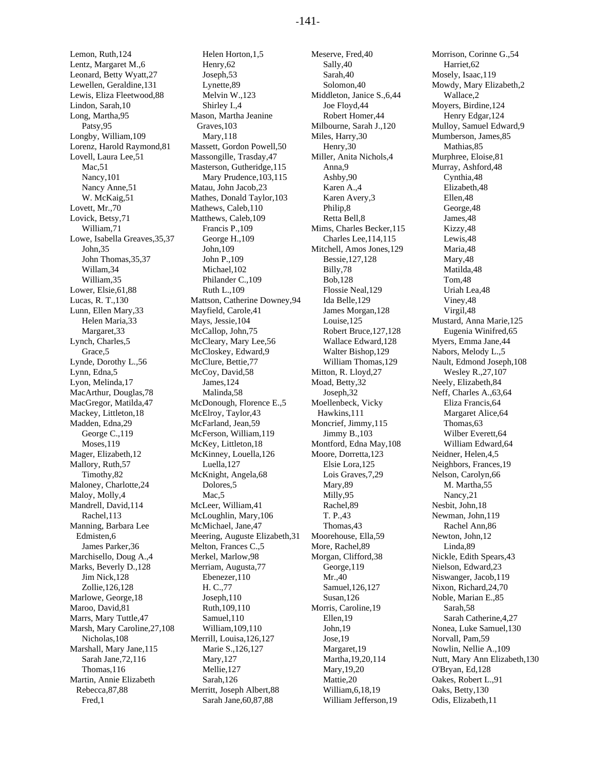Lemon, Ruth,124 Lentz, Margaret M.,6 Leonard, Betty Wyatt,27 Lewellen, Geraldine,131 Lewis, Eliza Fleetwood,88 Lindon, Sarah,10 Long, Martha,95 Patsy,95 Longby, William,109 Lorenz, Harold Raymond,81 Lovell, Laura Lee,51 Mac,51 Nancy,101 Nancy Anne,51 W. McKaig,51 Lovett, Mr.,70 Lovick, Betsy,71 William,71 Lowe, Isabella Greaves,35,37 John,35 John Thomas,35,37 Willam,34 William,35 Lower, Elsie,61,88 Lucas, R. T.,130 Lunn, Ellen Mary,33 Helen Maria,33 Margaret,33 Lynch, Charles,5 Grace,5 Lynde, Dorothy L.,56 Lynn, Edna,5 Lyon, Melinda,17 MacArthur, Douglas,78 MacGregor, Matilda,47 Mackey, Littleton,18 Madden, Edna,29 George C.,119 Moses,119 Mager, Elizabeth,12 Mallory, Ruth,57 Timothy,82 Maloney, Charlotte,24 Maloy, Molly,4 Mandrell, David,114 Rachel,113 Manning, Barbara Lee Edmisten,6 James Parker,36 Marchisello, Doug A.,4 Marks, Beverly D.,128 Jim Nick,128 Zollie,126,128 Marlowe, George,18 Maroo, David,81 Marrs, Mary Tuttle,47 Marsh, Mary Caroline,27,108 Nicholas,108 Marshall, Mary Jane,115 Sarah Jane,72,116 Thomas,116 Martin, Annie Elizabeth Rebecca,87,88 Fred,1

Helen Horton,1,5 Henry,62 Joseph,53 Lynette,89 Melvin W.,123 Shirley I.,4 Mason, Martha Jeanine Graves,103 Mary,118 Massett, Gordon Powell,50 Massongille, Trasday,47 Masterson, Gutheridge,115 Mary Prudence,103,115 Matau, John Jacob,23 Mathes, Donald Taylor,103 Mathews, Caleb,110 Matthews, Caleb,109 Francis P.,109 George H.,109 John,109 John P.,109 Michael,102 Philander C.,109 Ruth L.,109 Mattson, Catherine Downey,94 Mayfield, Carole,41 Mays, Jessie,104 McCallop, John,75 McCleary, Mary Lee,56 McCloskey, Edward,9 McClure, Bettie,77 McCoy, David,58 James,124 Malinda,58 McDonough, Florence E.,5 McElroy, Taylor,43 McFarland, Jean,59 McFerson, William,119 McKey, Littleton,18 McKinney, Louella,126 Luella,127 McKnight, Angela,68 Dolores,5 Mac<sub>.5</sub> McLeer, William,41 McLoughlin, Mary,106 McMichael, Jane,47 Meering, Auguste Elizabeth,31 Melton, Frances C.,5 Merkel, Marlow,98 Merriam, Augusta,77 Ebenezer,110 H. C.,77 Joseph,110 Ruth,109,110 Samuel,110 William,109,110 Merrill, Louisa,126,127 Marie S.,126,127 Mary,127 Mellie,127 Sarah,126 Merritt, Joseph Albert,88 Sarah Jane,60,87,88

Meserve, Fred,40 Sally,40 Sarah,40 Solomon,40 Middleton, Janice S.,6,44 Joe Floyd,44 Robert Homer,44 Milbourne, Sarah J.,120 Miles, Harry,30 Henry,30 Miller, Anita Nichols,4 Anna,9 Ashby,90 Karen A.,4 Karen Avery,3 Philip,8 Retta Bell,8 Mims, Charles Becker,115 Charles Lee,114,115 Mitchell, Amos Jones,129 Bessie,127,128 Billy,78 Bob,128 Flossie Neal,129 Ida Belle,129 James Morgan,128 Louise,125 Robert Bruce,127,128 Wallace Edward,128 Walter Bishop,129 William Thomas,129 Mitton, R. Lloyd,27 Moad, Betty,32 Joseph,32 Moellenbeck, Vicky Hawkins,111 Moncrief, Jimmy,115 Jimmy B.,103 Montford, Edna May,108 Moore, Dorretta,123 Elsie Lora,125 Lois Graves,7,29 Mary,89 Milly,95 Rachel,89 T. P.,43 Thomas,43 Moorehouse, Ella,59 More, Rachel,89 Morgan, Clifford,38 George,119 Mr.,40 Samuel,126,127 Susan,126 Morris, Caroline,19 Ellen,19 John,19 Jose,19 Margaret,19 Martha,19,20,114 Mary,19,20 Mattie,20 William,6,18,19 William Jefferson,19

Morrison, Corinne G.,54 Harriet,62 Mosely, Isaac,119 Mowdy, Mary Elizabeth,2 Wallace,2 Moyers, Birdine,124 Henry Edgar,124 Mulloy, Samuel Edward,9 Mumberson, James,85 Mathias,85 Murphree, Eloise,81 Murray, Ashford,48 Cynthia,48 Elizabeth,48 Ellen,48 George,48 James,48 Kizzy,48 Lewis,48 Maria,48 Mary,48 Matilda,48 Tom,48 Uriah Lea,48 Viney,48 Virgil,48 Mustard, Anna Marie,125 Eugenia Winifred,65 Myers, Emma Jane,44 Nabors, Melody L.,5 Nault, Edmond Joseph,108 Wesley R.,27,107 Neely, Elizabeth,84 Neff, Charles A.,63,64 Eliza Francis,64 Margaret Alice,64 Thomas,63 Wilber Everett,64 William Edward,64 Neidner, Helen,4,5 Neighbors, Frances,19 Nelson, Carolyn,66 M. Martha,55 Nancy,21 Nesbit, John,18 Newman, John,119 Rachel Ann,86 Newton, John,12 Linda,89 Nickle, Edith Spears,43 Nielson, Edward,23 Niswanger, Jacob,119 Nixon, Richard,24,70 Noble, Marian E.,85 Sarah,58 Sarah Catherine,4,27 Nonea, Luke Samuel,130 Norvall, Pam,59 Nowlin, Nellie A.,109 Nutt, Mary Ann Elizabeth,130 O'Bryan, Ed,128 Oakes, Robert L.,91 Oaks, Betty,130 Odis, Elizabeth,11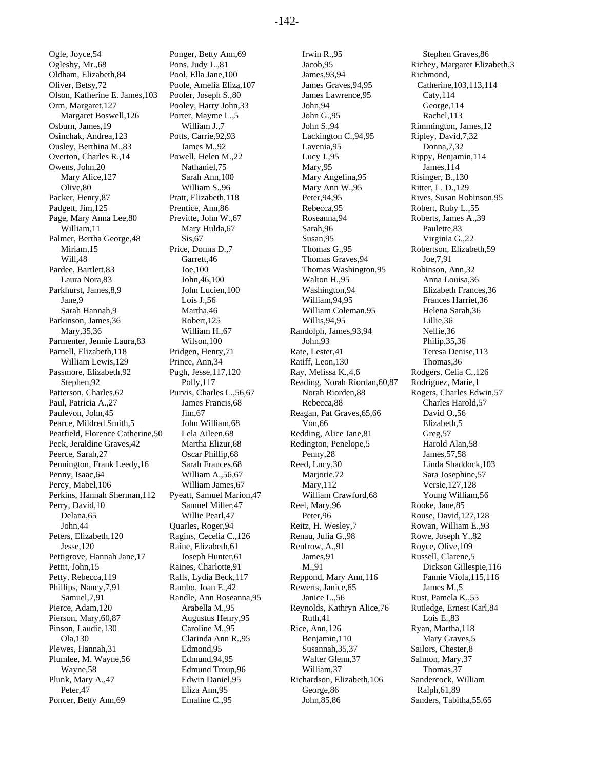Ogle, Joyce,54 Oglesby, Mr.,68 Oldham, Elizabeth,84 Oliver, Betsy,72 Olson, Katherine E. James,103 Orm, Margaret,127 Margaret Boswell,126 Osburn, James,19 Osinchak, Andrea,123 Ousley, Berthina M.,83 Overton, Charles R.,14 Owens, John,20 Mary Alice,127 Olive,80 Packer, Henry,87 Padgett, Jim,125 Page, Mary Anna Lee,80 William,11 Palmer, Bertha George,48 Miriam,15 Will,48 Pardee, Bartlett,83 Laura Nora,83 Parkhurst, James,8,9 Jane,9 Sarah Hannah,9 Parkinson, James,36 Mary,35,36 Parmenter, Jennie Laura,83 Parnell, Elizabeth,118 William Lewis,129 Passmore, Elizabeth,92 Stephen,92 Patterson, Charles,62 Paul, Patricia A.,27 Paulevon, John,45 Pearce, Mildred Smith,5 Peatfield, Florence Catherine,50 Peek, Jeraldine Graves,42 Peerce, Sarah,27 Pennington, Frank Leedy,16 Penny, Isaac,64 Percy, Mabel,106 Perkins, Hannah Sherman,112 Perry, David,10 Delana,65 John,44 Peters, Elizabeth,120 Jesse,120 Pettigrove, Hannah Jane,17 Pettit, John,15 Petty, Rebecca,119 Phillips, Nancy,7,91 Samuel,7,91 Pierce, Adam,120 Pierson, Mary,60,87 Pinson, Laudie,130 Ola,130 Plewes, Hannah,31 Plumlee, M. Wayne,56 Wayne,58 Plunk, Mary A.,47 Peter,47 Poncer, Betty Ann,69

Ponger, Betty Ann,69 Pons, Judy L.,81 Pool, Ella Jane,100 Poole, Amelia Eliza,107 Pooler, Joseph S.,80 Pooley, Harry John,33 Porter, Mayme L.,5 William J.,7 Potts, Carrie,92,93 James M.,92 Powell, Helen M.,22 Nathaniel,75 Sarah Ann,100 William S.,96 Pratt, Elizabeth,118 Prentice, Ann,86 Previtte, John W.,67 Mary Hulda,67 Sis, 67 Price, Donna D.,7 Garrett,46 Joe,100 John,46,100 John Lucien,100 Lois J.,56 Martha,46 Robert,125 William H.,67 Wilson,100 Pridgen, Henry,71 Prince, Ann,34 Pugh, Jesse,117,120 Polly,117 Purvis, Charles L.,56,67 James Francis,68 Jim,67 John William,68 Lela Aileen,68 Martha Elizur,68 Oscar Phillip,68 Sarah Frances,68 William A.,56,67 William James,67 Pyeatt, Samuel Marion,47 Samuel Miller,47 Willie Pearl,47 Quarles, Roger,94 Ragins, Cecelia C.,126 Raine, Elizabeth,61 Joseph Hunter,61 Raines, Charlotte,91 Ralls, Lydia Beck,117 Rambo, Joan E.,42 Randle, Ann Roseanna,95 Arabella M.,95 Augustus Henry,95 Caroline M.,95 Clarinda Ann R.,95 Edmond,95 Edmund,94,95 Edmund Troup,96 Edwin Daniel,95 Eliza Ann,95 Emaline C.,95

Irwin R.,95 Jacob,95 James,93,94 James Graves,94,95 James Lawrence,95 John,94 John G.,95 John S.,94 Lackington C.,94,95 Lavenia,95 Lucy J.,95 Mary,95 Mary Angelina,95 Mary Ann W.,95 Peter,94,95 Rebecca,95 Roseanna,94 Sarah,96 Susan,95 Thomas G.,95 Thomas Graves,94 Thomas Washington,95 Walton H.,95 Washington,94 William,94,95 William Coleman,95 Willis,94,95 Randolph, James,93,94 John,93 Rate, Lester,41 Ratiff, Leon,130 Ray, Melissa K.,4,6 Reading, Norah Riordan,60,87 Norah Riorden,88 Rebecca,88 Reagan, Pat Graves,65,66 Von,66 Redding, Alice Jane,81 Redington, Penelope,5 Penny,28 Reed, Lucy,30 Marjorie,72 Mary,112 William Crawford,68 Reel, Mary,96 Peter,96 Reitz, H. Wesley,7 Renau, Julia G.,98 Renfrow, A.,91 James,91 M.,91 Reppond, Mary Ann,116 Rewerts, Janice,65 Janice L.,56 Reynolds, Kathryn Alice,76 Ruth,41 Rice, Ann,126 Benjamin,110 Susannah,35,37 Walter Glenn,37 William,37 Richardson, Elizabeth,106 George,86 John,85,86

Stephen Graves,86 Richey, Margaret Elizabeth,3 Richmond, Catherine,103,113,114 Caty,114 George,114 Rachel,113 Rimmington, James,12 Ripley, David,7,32 Donna,7,32 Rippy, Benjamin,114 James,114 Risinger, B.,130 Ritter, L. D.,129 Rives, Susan Robinson,95 Robert, Ruby L.,55 Roberts, James A.,39 Paulette,83 Virginia G.,22 Robertson, Elizabeth,59 Joe,7,91 Robinson, Ann,32 Anna Louisa,36 Elizabeth Frances,36 Frances Harriet,36 Helena Sarah,36 Lillie,36 Nellie,36 Philip,35,36 Teresa Denise,113 Thomas,36 Rodgers, Celia C.,126 Rodriguez, Marie,1 Rogers, Charles Edwin,57 Charles Harold,57 David O.,56 Elizabeth,5 Greg,57 Harold Alan,58 James,57,58 Linda Shaddock,103 Sara Josephine,57 Versie,127,128 Young William,56 Rooke, Jane,85 Rouse, David,127,128 Rowan, William E.,93 Rowe, Joseph Y.,82 Royce, Olive,109 Russell, Clarene,5 Dickson Gillespie,116 Fannie Viola,115,116 James M.,5 Rust, Pamela K.,55 Rutledge, Ernest Karl,84 Lois E.,83 Ryan, Martha,118 Mary Graves,5 Sailors, Chester,8 Salmon, Mary,37 Thomas,37 Sandercock, William Ralph,61,89 Sanders, Tabitha,55,65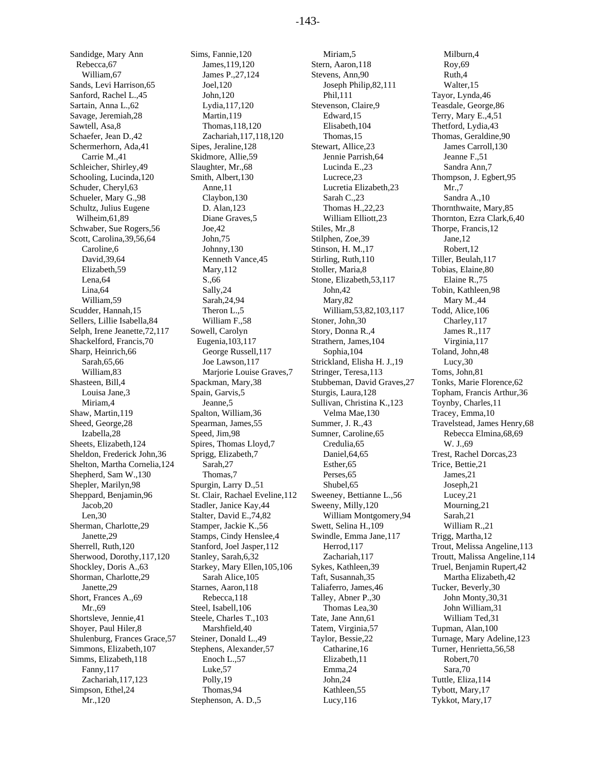Sandidge, Mary Ann Rebecca,67 William,67 Sands, Levi Harrison,65 Sanford, Rachel L.,45 Sartain, Anna L.,62 Savage, Jeremiah,28 Sawtell, Asa,8 Schaefer, Jean D.,42 Schermerhorn, Ada,41 Carrie M.,41 Schleicher, Shirley,49 Schooling, Lucinda,120 Schuder, Cheryl,63 Schueler, Mary G.,98 Schultz, Julius Eugene Wilheim,61,89 Schwaber, Sue Rogers,56 Scott, Carolina,39,56,64 Caroline,6 David,39,64 Elizabeth,59 Lena,64 Lina,64 William,59 Scudder, Hannah,15 Sellers, Lillie Isabella,84 Selph, Irene Jeanette,72,117 Shackelford, Francis,70 Sharp, Heinrich,66 Sarah,65,66 William,83 Shasteen, Bill,4 Louisa Jane,3 Miriam,4 Shaw, Martin,119 Sheed, George,28 Izabella,28 Sheets, Elizabeth,124 Sheldon, Frederick John,36 Shelton, Martha Cornelia,124 Shepherd, Sam W.,130 Shepler, Marilyn,98 Sheppard, Benjamin,96 Jacob,20 Len,30 Sherman, Charlotte,29 Janette,29 Sherrell, Ruth,120 Sherwood, Dorothy,117,120 Shockley, Doris A.,63 Shorman, Charlotte,29 Janette,29 Short, Frances A.,69 Mr., 69 Shortsleve, Jennie,41 Shoyer, Paul Hiler,8 Shulenburg, Frances Grace,57 Simmons, Elizabeth,107 Simms, Elizabeth,118 Fanny,117 Zachariah,117,123 Simpson, Ethel,24 Mr.,120

Sims, Fannie,120 James,119,120 James P.,27,124 Joel,120 John,120 Lydia,117,120 Martin,119 Thomas,118,120 Zachariah,117,118,120 Sipes, Jeraline,128 Skidmore, Allie,59 Slaughter, Mr.,68 Smith, Albert,130 Anne,11 Claybon,130 D. Alan,123 Diane Graves,5 Joe,42 John,75 Johnny,130 Kenneth Vance,45 Mary,112 S.,66 Sally,24 Sarah,24,94 Theron L.,5 William F.,58 Sowell, Carolyn Eugenia,103,117 George Russell,117 Joe Lawson,117 Marjorie Louise Graves,7 Spackman, Mary,38 Spain, Garvis,5 Jeanne,5 Spalton, William,36 Spearman, James,55 Speed, Jim,98 Spires, Thomas Lloyd,7 Sprigg, Elizabeth,7 Sarah,27 Thomas,7 Spurgin, Larry D.,51 St. Clair, Rachael Eveline,112 Stadler, Janice Kay,44 Stalter, David E.,74,82 Stamper, Jackie K.,56 Stamps, Cindy Henslee,4 Stanford, Joel Jasper,112 Stanley, Sarah,6,32 Starkey, Mary Ellen,105,106 Sarah Alice,105 Starnes, Aaron,118 Rebecca,118 Steel, Isabell,106 Steele, Charles T.,103 Marshfield,40 Steiner, Donald L.,49 Stephens, Alexander,57 Enoch L.,57 Luke,57 Polly,19 Thomas,94 Stephenson, A. D.,5

Miriam<sub>5</sub> Stern, Aaron,118 Stevens, Ann,90 Joseph Philip,82,111 Phil,111 Stevenson, Claire,9 Edward,15 Elisabeth,104 Thomas,15 Stewart, Allice,23 Jennie Parrish,64 Lucinda E.,23 Lucrece,23 Lucretia Elizabeth,23 Sarah C.,23 Thomas H.,22,23 William Elliott,23 Stiles, Mr.,8 Stilphen, Zoe,39 Stinson, H. M.,17 Stirling, Ruth,110 Stoller, Maria,8 Stone, Elizabeth,53,117 John,42 Mary,82 William,53,82,103,117 Stoner, John,30 Story, Donna R.,4 Strathern, James,104 Sophia,104 Strickland, Elisha H. J.,19 Stringer, Teresa,113 Stubbeman, David Graves,27 Sturgis, Laura,128 Sullivan, Christina K.,123 Velma Mae,130 Summer, J. R.,43 Sumner, Caroline,65 Credulia,65 Daniel,64,65 Esther,65 Perses,65 Shubel,65 Sweeney, Bettianne L.,56 Sweeny, Milly,120 William Montgomery,94 Swett, Selina H.,109 Swindle, Emma Jane,117 Herrod,117 Zachariah,117 Sykes, Kathleen,39 Taft, Susannah,35 Taliaferro, James,46 Talley, Abner P.,30 Thomas Lea,30 Tate, Jane Ann,61 Tatem, Virginia,57 Taylor, Bessie,22 Catharine,16 Elizabeth,11 Emma,24 John,24 Kathleen,55 Lucy,116

Milburn,4 Roy,69 Ruth,4 Walter,15 Tayor, Lynda,46 Teasdale, George,86 Terry, Mary E.,4,51 Thetford, Lydia,43 Thomas, Geraldine,90 James Carroll,130 Jeanne F.,51 Sandra Ann,7 Thompson, J. Egbert,95 Mr.,7 Sandra A.,10 Thornthwaite, Mary,85 Thornton, Ezra Clark,6,40 Thorpe, Francis,12 Jane,12 Robert,12 Tiller, Beulah,117 Tobias, Elaine,80 Elaine R.,75 Tobin, Kathleen,98 Mary M.,44 Todd, Alice,106 Charley,117 James R.,117 Virginia,117 Toland, John,48 Lucy,30 Toms, John,81 Tonks, Marie Florence,62 Topham, Francis Arthur,36 Toynby, Charles,11 Tracey, Emma,10 Travelstead, James Henry,68 Rebecca Elmina,68,69 W. J.,69 Trest, Rachel Dorcas,23 Trice, Bettie,21 James,21 Joseph,21 Lucey,21 Mourning,21 Sarah,21 William R.,21 Trigg, Martha,12 Trout, Melissa Angeline,113 Troutt, Malissa Angeline,114 Truel, Benjamin Rupert,42 Martha Elizabeth,42 Tucker, Beverly,30 John Monty,30,31 John William,31 William Ted,31 Tupman, Alan,100 Turnage, Mary Adeline,123 Turner, Henrietta,56,58 Robert,70 Sara,70 Tuttle, Eliza,114 Tybott, Mary,17 Tykkot, Mary,17